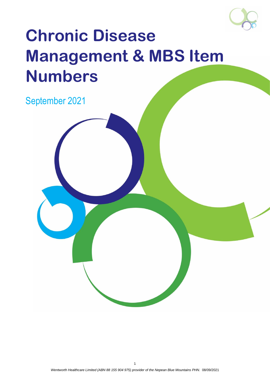

# **Chronic Disease Management & MBS Item Numbers**

September 2021

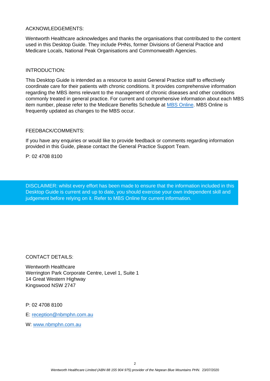#### ACKNOWLEDGEMENTS:

Wentworth Healthcare acknowledges and thanks the organisations that contributed to the content used in this Desktop Guide. They include PHNs, former Divisions of General Practice and Medicare Locals, National Peak Organisations and Commonwealth Agencies.

#### INTRODUCTION:

This Desktop Guide is intended as a resource to assist General Practice staff to effectively coordinate care for their patients with chronic conditions. It provides comprehensive information regarding the MBS items relevant to the management of chronic diseases and other conditions commonly treated in general practice. For current and comprehensive information about each MBS item number, please refer to the Medicare Benefits Schedule at [MBS Online.](http://www.mbsonline.gov.au/internet/mbsonline/publishing.nsf/Content/Home) MBS Online is frequently updated as changes to the MBS occur.

#### FEEDBACK/COMMENTS:

If you have any enquiries or would like to provide feedback or comments regarding information provided in this Guide, please contact the General Practice Support Team.

P: 02 4708 8100

DISCLAIMER: whilst every effort has been made to ensure that the information included in this Desktop Guide is current and up to date, you should exercise your own independent skill and judgement before relying on it. Refer to MBS Online for current information.

CONTACT DETAILS:

Wentworth Healthcare Werrington Park Corporate Centre, Level 1, Suite 1 14 Great Western Highway Kingswood NSW 2747

P: 02 4708 8100

E: [reception@nbmphn.com.au](mailto:reception@nbmphn.com.au)

W: [www.nbmphn.com.au](http://www.nbmphn.com.au/)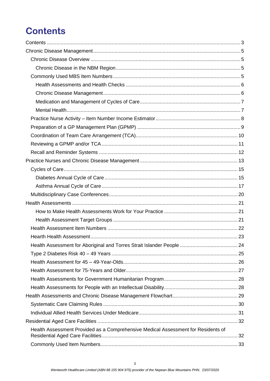# <span id="page-2-0"></span>**Contents**

| Health Assessment Provided as a Comprehensive Medical Assessment for Residents of |  |
|-----------------------------------------------------------------------------------|--|
|                                                                                   |  |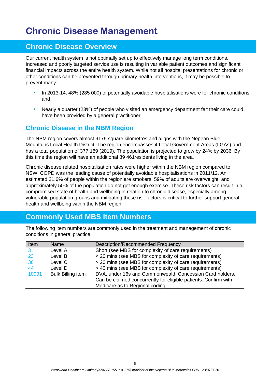## <span id="page-4-0"></span>**Chronic Disease Management**

### <span id="page-4-1"></span>**Chronic Disease Overview**

Our current health system is not optimally set up to effectively manage long term conditions. Increased and poorly targeted service use is resulting in variable patient outcomes and significant financial impacts across the entire health system. While not all hospital presentations for chronic or other conditions can be prevented through primary health interventions, it may be possible to prevent many:

- In 2013-14, 48% (285 000) of potentially avoidable hospitalisations were for chronic conditions; and
- Nearly a quarter (23%) of people who visited an emergency department felt their care could have been provided by a general practitioner.

### <span id="page-4-2"></span>**Chronic Disease in the NBM Region**

The NBM region covers almost 9179 square kilometres and aligns with the Nepean Blue Mountains Local Health District. The region encompasses 4 Local Government Areas (LGAs) and has a total population of 377 189 (2019). The population is projected to grow by 24% by 2036. By this time the region will have an additional 89 461residents living in the area.

Chronic disease related hospitalisation rates were higher within the NBM region compared to NSW. COPD was the leading cause of potentially avoidable hospitalisations in 2011/12. An estimated 21.6% of people within the region are smokers, 59% of adults are overweight, and approximately 50% of the population do not get enough exercise. These risk factors can result in a compromised state of health and wellbeing in relation to chronic disease, especially among vulnerable population groups and mitigating these risk factors is critical to further support general health and wellbeing within the NBM region.

## <span id="page-4-3"></span>**Commonly Used MBS Item Numbers**

The following item numbers are commonly used in the treatment and management of chronic conditions in general practice.

| Item  | Name                     | <b>Description/Recommended Frequency</b>                        |
|-------|--------------------------|-----------------------------------------------------------------|
|       | Level A                  | Short (see MBS for complexity of care requirements)             |
| 23    | Level B                  | < 20 mins (see MBS for complexity of care requirements)         |
| 36    | Level C                  | > 20 mins (see MBS for complexity of care requirements)         |
| 44    | Level D                  | > 40 mins (see MBS for complexity of care requirements)         |
| 10991 | <b>Bulk Billing item</b> | DVA, under 16s and Commonwealth Concession Card holders.        |
|       |                          | Can be claimed concurrently for eligible patients. Confirm with |
|       |                          | Medicare as to Regional coding                                  |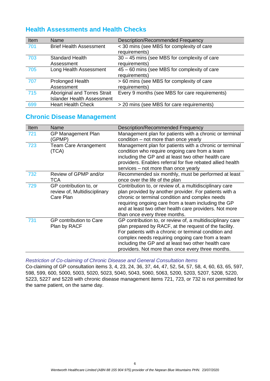### <span id="page-5-0"></span>**Health Assessments and Health Checks**

| Item | Name                              | <b>Description/Recommended Frequency</b>       |
|------|-----------------------------------|------------------------------------------------|
| 701  | <b>Brief Health Assessment</b>    | < 30 mins (see MBS for complexity of care      |
|      |                                   | requirements)                                  |
| 703  | <b>Standard Health</b>            | 30 - 45 mins (see MBS for complexity of care   |
|      | Assessment                        | requirements)                                  |
| 705  | Long Health Assessment            | 45 – 60 mins (see MBS for complexity of care   |
|      |                                   | requirements)                                  |
| 707  | <b>Prolonged Health</b>           | > 60 mins (see MBS for complexity of care      |
|      | Assessment                        | requirements)                                  |
| 715  | Aboriginal and Torres Strait      | Every 9 months (see MBS for care requirements) |
|      | <b>Islander Health Assessment</b> |                                                |
| 699  | <b>Heart Health Check</b>         | > 20 mins (see MBS for care requirements)      |

### <span id="page-5-1"></span>**Chronic Disease Management**

| Item | Name                                                                | <b>Description/Recommended Frequency</b>                                                                                                                                                                                                                                                                                                      |  |  |
|------|---------------------------------------------------------------------|-----------------------------------------------------------------------------------------------------------------------------------------------------------------------------------------------------------------------------------------------------------------------------------------------------------------------------------------------|--|--|
| 721  | <b>GP Management Plan</b><br>(GPMP)                                 | Management plan for patients with a chronic or terminal<br>condition – not more than once yearly                                                                                                                                                                                                                                              |  |  |
| 723  | <b>Team Care Arrangement</b><br>(TCA)                               | Management plan for patients with a chronic or terminal<br>condition who require ongoing care from a team<br>including the GP and at least two other health care<br>providers. Enables referral for five rebated allied health<br>services – not more than once yearly                                                                        |  |  |
| 732  | Review of GPMP and/or<br><b>TCA</b>                                 | Recommended six monthly, must be performed at least<br>once over the life of the plan                                                                                                                                                                                                                                                         |  |  |
| 729  | GP contribution to, or<br>review of, Multidisciplinary<br>Care Plan | Contribution to, or review of, a multidisciplinary care<br>plan provided by another provider. For patients with a<br>chronic or terminal condition and complex needs<br>requiring ongoing care from a team including the GP<br>and at least two other health care providers. Not more<br>than once every three months.                        |  |  |
| 731  | GP contribution to Care<br>Plan by RACF                             | GP contribution to, or review of, a multidisciplinary care<br>plan prepared by RACF, at the request of the facility.<br>For patients with a chronic or terminal condition and<br>complex needs requiring ongoing care from a team<br>including the GP and at least two other health care<br>providers. Not more than once every three months. |  |  |

*Restriction of Co-claiming of Chronic Disease and General Consultation Items*

Co-claiming of GP consultation items 3, 4, 23, 24, 36, 37, 44, 47, 52, 54, 57, 58, 4, 60, 63, 65, 597, 598, 599, 600, 5000, 5003, 5020, 5023, 5040, 5043, 5060, 5063, 5200, 5203, 5207, 5208, 5220, 5223, 5227 and 5228 with chronic disease management items 721, 723, or 732 is not permitted for the same patient, on the same day.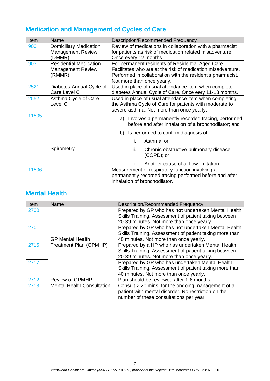| Item  | Name                          | Description/Recommended Frequency                           |  |  |
|-------|-------------------------------|-------------------------------------------------------------|--|--|
| 900   | <b>Domiciliary Medication</b> | Review of medications in collaboration with a pharmacist    |  |  |
|       | <b>Management Review</b>      | for patients as risk of medication related misadventure.    |  |  |
|       | (DMMR)                        | Once every 12 months                                        |  |  |
| 903   | <b>Residential Medication</b> | For permanent residents of Residential Aged Care            |  |  |
|       | <b>Management Review</b>      | Facilitates who are at the risk of medication misadventure. |  |  |
|       | (RMMR)                        | Performed in collaboration with the resident's pharmacist.  |  |  |
|       |                               | Not more than once yearly.                                  |  |  |
| 2521  | Diabetes Annual Cycle of      | Used in place of usual attendance item when complete        |  |  |
|       | Care Level C                  | diabetes Annual Cycle of Care. Once eery 11-13 months.      |  |  |
| 2552  | Asthma Cycle of Care          | Used in place of usual attendance item when completing      |  |  |
|       | Level C                       | the Asthma Cycle of Care for patients with moderate to      |  |  |
|       |                               | severe asthma. Not more than once yearly.                   |  |  |
| 11505 |                               | a) Involves a permanently recorded tracing, performed       |  |  |
|       |                               | before and after inhalation of a bronchodilator; and        |  |  |
|       |                               | Is performed to confirm diagnosis of:<br>b)                 |  |  |
|       |                               | i.<br>Asthma; or                                            |  |  |
|       | Spirometry                    | ii.<br>Chronic obstructive pulmonary disease                |  |  |
|       |                               | (COPD); or                                                  |  |  |
|       |                               | iii.<br>Another cause of airflow limitation                 |  |  |
| 11506 |                               | Measurement of respiratory function involving a             |  |  |
|       |                               | permanently recorded tracing performed before and after     |  |  |
|       |                               | inhalation of bronchodilator.                               |  |  |

## <span id="page-6-0"></span>**Medication and Management of Cycles of Care**

## <span id="page-6-1"></span>**Mental Health**

| Item | Name                              | Description/Recommended Frequency                       |
|------|-----------------------------------|---------------------------------------------------------|
| 2700 |                                   | Prepared by GP who has not undertaken Mental Health     |
|      |                                   | Skills Training. Assessment of patient taking between   |
|      |                                   | 20-39 minutes. Not more than once yearly.               |
| 2701 |                                   | Prepared by GP who has not undertaken Mental Health     |
|      |                                   | Skills Training. Assessment of patient taking more than |
|      | <b>GP Mental Health</b>           | 40 minutes. Not more than once yearly.                  |
| 2715 | Treatment Plan (GPMHP)            | Prepared by a HP who has undertaken Mental Health       |
|      |                                   | Skills Training. Assessment of patient taking between   |
|      |                                   | 20-39 minutes. Not more than once yearly.               |
| 2717 |                                   | Prepared by GP who has undertaken Mental Health         |
|      |                                   | Skills Training. Assessment of patient taking more than |
|      |                                   | 40 minutes. Not more than once yearly.                  |
| 2712 | <b>Review of GPMHP</b>            | Plan should be reviewed after 1-6 months                |
| 2713 | <b>Mental Health Consultation</b> | Consult > 20 mins, for the ongoing management of a      |
|      |                                   | patient with mental disorder. No restriction on the     |
|      |                                   | number of these consultations per year.                 |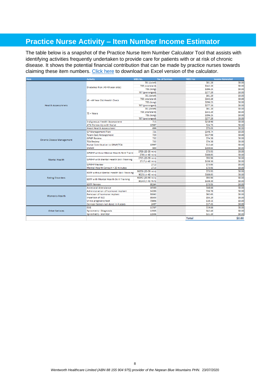## <span id="page-7-0"></span>**Practice Nurse Activity – Item Number Income Estimator**

The table below is a snapshot of the Practice Nurse Item Number Calculator Tool that assists with identifying activities frequently undertaken to provide care for patients with or at risk of chronic disease. It shows the potential financial contribution that can be made by practice nurses towards claiming these item numbers. [Click here](file://///NBMML-FSCDATA/FSCDATA/DATA/FOLDERS/Programs/PRACTICE%20SUPPORT/1.PRACTICE%20SUPPORT%20RESOURCES/MBS/Practice%20Nurse%20MBS%20Calculator.xlsx) to download an Excel version of the calculator.

| <b>Item</b>                      | <b>Activity</b>                                  | MBS No.           | <b>No. of Services</b> | <b>MBS Fee</b> | <b>Income Generated</b> |
|----------------------------------|--------------------------------------------------|-------------------|------------------------|----------------|-------------------------|
|                                  |                                                  | 701 (brief)       |                        | \$61.20        | \$0.00                  |
|                                  | Diabetes Risk (40-49 year olds)                  | 703 (standard)    |                        | \$142.20       | \$0.00                  |
|                                  |                                                  | 705 (long)        |                        | \$196.25       | \$0.00                  |
|                                  |                                                  | 707 (prolonged)   |                        | \$277.20       | \$0.00                  |
|                                  |                                                  | 701 (brief)       |                        | \$61.20        | \$0.00                  |
|                                  | 45 - 49 Year Old Health Check                    | 703 (standard)    |                        | \$142.20       | \$0.00                  |
|                                  |                                                  | 705 (long)        |                        | \$196.25       | \$0.00                  |
| <b>Health Assessmnets</b>        |                                                  | 707 (prolonged)   |                        | \$277.20       | \$0.00                  |
|                                  |                                                  | 701 (brief)       |                        | \$61.20        | \$0.00                  |
|                                  | 75 + Years                                       | 703 (standard)    |                        | \$142.20       | \$0.00                  |
|                                  |                                                  | 705 (long)        |                        | \$196.25       | \$0.00                  |
|                                  |                                                  | 707 (prolonged)   |                        | \$277.20       | \$0.00                  |
|                                  | Indigneous Health Assessment                     | 715               |                        | \$218.90       | \$0.00                  |
|                                  | ATSI Follow Up with Nurse                        | 10987             |                        | \$24.75        | \$0.00                  |
|                                  | <b>Heart Health Assessment</b>                   | 699               |                        | \$75.05        | \$0.00                  |
|                                  | <b>GP Management Plan</b>                        | 721               |                        | \$148.74       | \$0.00                  |
|                                  | <b>Team Care Arrangement</b>                     | 723               |                        | \$117.90       | S0.00                   |
|                                  | <b>GPMP Review</b>                               | 732               |                        | \$74.30        | \$0.00                  |
| <b>Chronic Disese Management</b> | <b>TCA Review</b>                                | 732               |                        | \$74.30        | \$0.00                  |
|                                  | Nurse Contribution to GPMP/TCA                   | 10997             |                        | \$12.40        | <b>SO.00</b>            |
|                                  | <b>DMMR</b>                                      | 900               |                        | \$159.65       | \$0.00                  |
|                                  |                                                  | 2700 (20-39 min)  |                        | \$73.95        | \$0.00                  |
|                                  | <b>GPMHP without Mental Health Skill Traini</b>  | 2701 (> 40 min)   |                        | \$108.85       | \$0.00                  |
|                                  | <b>GPMHP with Mental Health Skill Training</b>   | 2715 (20-39 min)  |                        | \$93.90        | <b>SO.00</b>            |
| <b>Mental Health</b>             |                                                  | 2717 (> 40 min)   |                        | \$138.30       | \$0.00                  |
|                                  | <b>GPMHP Review</b>                              | 2712              |                        | \$73.95        | \$0.00                  |
|                                  | Mental Health Consult > 20 minutes               | 2713              |                        | \$73.95        | \$0.00                  |
|                                  |                                                  | 90250 (20-39 min) |                        | \$73.95        | S0.00                   |
|                                  | <b>EDTP without Mental Health Skill Training</b> | 90251 (> 40 min)  |                        | \$108.85       | \$0.00                  |
| <b>Eating Disorders</b>          |                                                  | 90252 (20-39 min) |                        | \$93.90        | \$0.00                  |
|                                  | EDTP with Mental Health Skill Training           | 90243 (> 40 min)  |                        | \$138.30       | \$0.00                  |
|                                  | <b>EDTP Review</b>                               | 90264             |                        | \$73.95        | <b>SO.00</b>            |
|                                  | <b>Antenatal Attendance</b>                      | 16500             |                        | \$48.60        | \$0.00                  |
|                                  | Administration of hormone implant                | 14206             |                        | \$36.70        | \$0.00                  |
| Women's Health                   | Removal of hormone implant                       | 30062             |                        | \$62.65        | <b>SO.00</b>            |
|                                  | <b>Insertion of IUD</b>                          | 35503             |                        | \$55.20        | \$0.00                  |
|                                  | Urine pregnancy test                             | 73806             |                        | \$10.15        | \$0.00                  |
|                                  | Cervical Screen not done in 4 years              | 2497              |                        | \$17.45        | \$0.00                  |
|                                  | ECG                                              | 11707             |                        | \$19.00        | <b>SO.00</b>            |
| <b>Other Serivces</b>            | Spirometry - Diagnosis                           | 11505             |                        | \$42.40        | \$0.00                  |
|                                  | Spirometry - Monitor                             | 11506             |                        | \$21.20        | \$0.00                  |
|                                  |                                                  |                   |                        |                |                         |
|                                  |                                                  |                   |                        | Total          | \$0.00                  |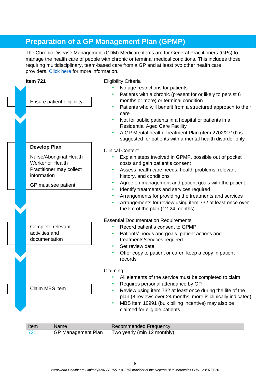## <span id="page-8-0"></span>**Preparation of a GP Management Plan (GPMP)**

The Chronic Disease Management (CDM) Medicare items are for General Practitioners (GPs) to manage the health care of people with chronic or terminal medical conditions. This includes those requiring multidisciplinary, team-based care from a GP and at least two other health care providers. [Click here](https://www1.health.gov.au/internet/main/publishing.nsf/Content/mbsprimarycare-factsheet-chronicdisease.htm) for more information.



| Item | Name                      | Recommended Frequency       |
|------|---------------------------|-----------------------------|
|      | <b>GP Management Plan</b> | Two yearly (min 12 monthly) |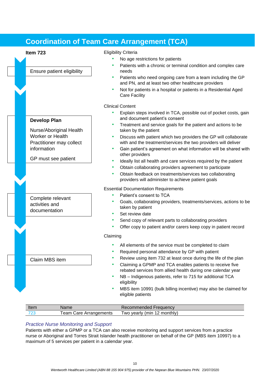## <span id="page-9-0"></span>**Coordination of Team Care Arrangement (TCA)**

Ensure patient eligibility

Nurse/Aboriginal Health

Practitioner may collect

GP must see patient

Complete relevant activities and documentation

Claim MBS item

**Develop Plan**

information

Worker or Health



- No age restrictions for patients
- Patients with a chronic or terminal condition and complex care needs
- Patients who need ongoing care from a team including the GP and PN, and at least two other healthcare providers
- Not for patients in a hospital or patients in a Residential Aged Care Facility

Clinical Content

- Explain steps involved in TCA, possible out of pocket costs, gain and document patient's consent
- Treatment and service goals for the patient and actions to be taken by the patient
- Discuss with patient which two providers the GP will collaborate with and the treatment/services the two providers will deliver
- Gain patient's agreement on what information will be shared with other providers
- Ideally list all health and care services required by the patient
- Obtain collaborating providers agreement to participate
- Obtain feedback on treatments/services two collaborating providers will administer to achieve patient goals

Essential Documentation Requirements

- Patient's consent to TCA
- Goals, collaborating providers, treatments/services, actions to be taken by patient
- Set review date
- Send copy of relevant parts to collaborating providers
- Offer copy to patient and/or carers keep copy in patient record

#### Claiming

- All elements of the service must be completed to claim
- Required personal attendance by GP with patient
- Review using item 732 at least once during the life of the plan
- Claiming a GPMP and TCA enables patients to receive five rebated services from allied health during one calendar year
- NB Indigenous patients, refer to 715 for additional TCA eligibility
- MBS item 10991 (bulk billing incentive) may also be claimed for eligible patients

| Item                  | Name                                     | Frequency<br>commended                          |
|-----------------------|------------------------------------------|-------------------------------------------------|
| 70 <sub>6</sub><br>∠J | eam<br>$\sim$ re<br>Arrangements<br>Jale | $\overline{ }$<br>(min<br>monthly)<br>wo yearly |

#### *Practice Nurse Monitoring and Support*

Patients with either a GPMP or a TCA can also receive monitoring and support services from a practice nurse or Aboriginal and Torres Strait Islander health practitioner on behalf of the GP (MBS item 10997) to a maximum of 5 services per patient in a calendar year.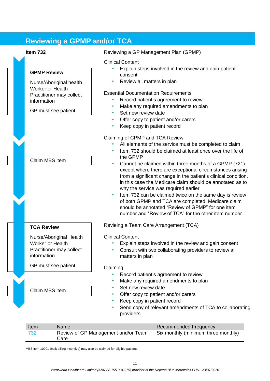## <span id="page-10-0"></span>**Reviewing a GPMP and/or TCA**

#### **GPMP Review**

Nurse/Aboriginal health Worker or Health Practitioner may collect information

GP must see patient

Claim MBS item

#### **TCA Review**

Nurse/Aboriginal Health Worker or Health Practitioner may collect information

GP must see patient

Claim MBS item

**Item 732** Reviewing a GP Management Plan (GPMP)

#### Clinical Content

- Explain steps involved in the review and gain patient consent
- Review all matters in plan

#### Essential Documentation Requirements

- Record patient's agreement to review
- Make any required amendments to plan
- Set new review date
- Offer copy to patient and/or carers
- Keep copy in patient record

#### Claiming of CPMP and TCA Review

- All elements of the service must be completed to claim
- Item 732 should be claimed at least once over the life of the GPMP
- Cannot be claimed within three months of a GPMP (721) except where there are exceptional circumstances arising from a significant change in the patient's clinical condition, in this case the Medicare claim should be annotated as to why the service was required earlier
- Item 732 can be claimed twice on the same day is review of both GPMP and TCA are completed. Medicare claim should be annotated "Review of GPMP" for one item number and "Review of TCA" for the other item number

Revieing a Team Care Arrangement (TCA)

#### Clinical Content

- Explain steps involved in the review and gain consent
- Consult with two collaborating providers to review all matters in plan

#### Claiming

- Record patient's agreement to review
- Make any required amendments to plan
- Set new review date
- Offer copy to patient and/or carers
- Keep copy in patient record
- Send copy of relevant amendments of TCA to collaborating providers

| Item | <b>Name</b>                                 | <b>Recommended Frequency</b>        |
|------|---------------------------------------------|-------------------------------------|
| 732  | Review of GP Management and/or Team<br>Care | Six monthly (minimum three monthly) |

MBS item 10991 (bulk billing incentive) may also be claimed for eligible patients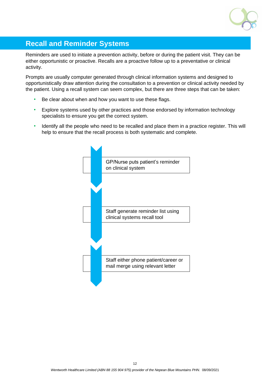

## <span id="page-11-0"></span>**Recall and Reminder Systems**

Reminders are used to initiate a prevention activity, before or during the patient visit. They can be either opportunistic or proactive. Recalls are a proactive follow up to a preventative or clinical activity.

Prompts are usually computer generated through clinical information systems and designed to opportunistically draw attention during the consultation to a prevention or clinical activity needed by the patient. Using a recall system can seem complex, but there are three steps that can be taken:

- Be clear about when and how you want to use these flags.
- Explore systems used by other practices and those endorsed by information technology specialists to ensure you get the correct system.
- Identify all the people who need to be recalled and place them in a practice register. This will help to ensure that the recall process is both systematic and complete.

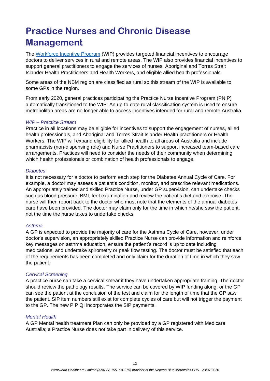## <span id="page-12-0"></span>**Practice Nurses and Chronic Disease Management**

The [Workforce Incentive Program](https://www.health.gov.au/initiatives-and-programs/workforce-incentive-program/practice-stream?utm_source=health.gov.au&utm_medium=callout-auto-custom&utm_campaign=digital_transformation) (WIP) provides targeted financial incentives to encourage doctors to deliver services in rural and remote areas. The WIP also provides financial incentives to support general practitioners to engage the services of nurses, Aboriginal and Torres Strait Islander Health Practitioners and Health Workers, and eligible allied health professionals.

Some areas of the NBM region are classified as rural so this stream of the WIP is available to some GPs in the region.

From early 2020, general practices participating the Practice Nurse Incentive Program (PNIP) automatically transitioned to the WIP. An up-to-date rural classification system is used to ensure metropolitan areas are no longer able to access incentives intended for rural and remote Australia.

#### *WIP – Practice Stream*

Practice in all locations may be eligible for incentives to support the engagement of nurses, allied health professionals, and Aboriginal and Torres Strait Islander Health practitioners or Health Workers. The WIP will expand eligibility for allied health to all areas of Australia and include pharmacists (non-dispensing role) and Nurse Practitioners to support increased team-based care arrangements. Practices will need to consider the needs of their community when determining which health professionals or combination of health professionals to engage.

#### *Diabetes*

It is not necessary for a doctor to perform each step for the Diabetes Annual Cycle of Care. For example, a doctor may assess a patient's condition, monitor, and prescribe relevant medications. An appropriately trained and skilled Practice Nurse, under GP supervision, can undertake checks such as blood pressure, BMI, feet examination and review the patient's diet and exercise. The nurse will then report back to the doctor who must note that the elements of the annual diabetes care have been provided. The doctor may claim only for the time in which he/she saw the patient, not the time the nurse takes to undertake checks.

#### *Asthma*

A GP is expected to provide the majority of care for the Asthma Cycle of Care, however, under doctor's supervision, an appropriately skilled Practice Nurse can provide information and reinforce key messages on asthma education, ensure the patient's record is up to date including medications, and undertake spirometry or peak flow testing. The doctor must be satisfied that each of the requirements has been completed and only claim for the duration of time in which they saw the patient.

#### *Cervical Screening*

A practice nurse can take a cervical smear if they have undertaken appropriate training. The doctor should review the pathology results. The service can be covered by WIP funding along, or the GP can see the patient at the conclusion of the test and claim for the length of time that the GP saw the patient. SIP item numbers still exist for complete cycles of care but will not trigger the payment to the GP. The new PIP QI incorporates the SIP payments.

#### *Mental Health*

A GP Mental health treatment Plan can only be provided by a GP registered with Medicare Australia; a Practice Nurse does not take part in delivery of this service.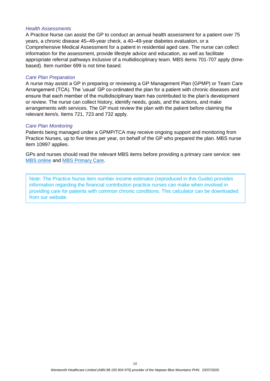#### *Health Assessments*

A Practice Nurse can assist the GP to conduct an annual health assessment for a patient over 75 years, a chronic disease 45–49-year check, a 40–49-year diabetes evaluation, or a Comprehensive Medical Assessment for a patient in residential aged care. The nurse can collect information for the assessment, provide lifestyle advice and education, as well as facilitate appropriate referral pathways inclusive of a multidisciplinary team. MBS items 701-707 apply (timebased). Item number 699 is not time based.

#### *Care Plan Preparation*

A nurse may assist a GP in preparing or reviewing a GP Management Plan (GPMP) or Team Care Arrangement (TCA). The 'usual' GP co-ordinated the plan for a patient with chronic diseases and ensure that each member of the multidisciplinary team has contributed to the plan's development or review. The nurse can collect history, identify needs, goals, and the actions, and make arrangements with services. The GP must review the plan with the patient before claiming the relevant item/s. Items 721, 723 and 732 apply.

#### *Care Plan Monitoring*

Patients being managed under a GPMP/TCA may receive ongoing support and monitoring from Practice Nurses, up to five times per year, on behalf of the GP who prepared the plan. MBS nurse item 10997 applies.

GPs and nurses should read the relevant MBS items before providing a primary care service: see [MBS online](http://www.mbsonline.gov.au/internet/mbsonline/publishing.nsf/Content/Home) and [MBS Primary Care.](https://www1.health.gov.au/internet/main/publishing.nsf/Content/mbs-primary-care?Open=&utm_source=health.gov.au&utm_medium=redirect&utm_campaign=digital_transformation&utm_content=mbsprimarycareitems)

Note: The Practice Nurse item number income estimator (reproduced in this Guide) provides information regarding the financial contribution practice nurses can make when involved in providing care for patients with common chronic conditions. This calculator can be downloaded from our website.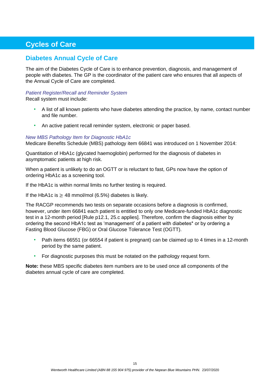## <span id="page-14-0"></span>**Cycles of Care**

### <span id="page-14-1"></span>**Diabetes Annual Cycle of Care**

The aim of the Diabetes Cycle of Care is to enhance prevention, diagnosis, and management of people with diabetes. The GP is the coordinator of the patient care who ensures that all aspects of the Annual Cycle of Care are completed.

## *Patient Register/Recall and Reminder System*

Recall system must include:

- A list of all known patients who have diabetes attending the practice, by name, contact number and file number.
- An active patient recall reminder system, electronic or paper based.

#### *New MBS Pathology Item for Diagnostic HbA1c*

Medicare Benefits Schedule (MBS) pathology item 66841 was introduced on 1 November 2014:

Quantitation of HbA1c (glycated haemoglobin) performed for the diagnosis of diabetes in asymptomatic patients at high risk.

When a patient is unlikely to do an OGTT or is reluctant to fast, GPs now have the option of ordering HbA1c as a screening tool.

If the HbA1c is within normal limits no further testing is required.

If the HbA1c is  $\geq$  48 mmol/mol (6.5%) diabetes is likely.

The RACGP recommends two tests on separate occasions before a diagnosis is confirmed, however, under item 66841 each patient is entitled to only one Medicare-funded HbA1c diagnostic test in a 12-month period [Rule p12.1, 25.c applies]. Therefore, confirm the diagnosis either by ordering the second HbA1c test as 'management' of a patient with diabetes\* or by ordering a Fasting Blood Glucose (FBG) or Oral Glucose Tolerance Test (OGTT).

- Path items 66551 (or 66554 if patient is pregnant) can be claimed up to 4 times in a 12-month period by the same patient.
- For diagnostic purposes this must be notated on the pathology request form.

**Note:** these MBS specific diabetes item numbers are to be used once all components of the diabetes annual cycle of care are completed.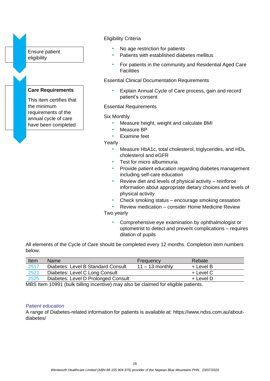

#### Eligibility Criteria

- No age restriction for patients
- Patients with established diabetes mellitus
- For patients in the community and Residential Aged Care **Facilities**

Essential Clinical Documentation Requirements

• Explain Annual Cycle of Care process, gain and record patient's consent

#### Essential Requirements

#### Six Monthly

- Measure height, weight and calculate BMI
- Measure BP
- Examine feet

Yearly

- Measure HbA1c, total cholesterol, triglycerides, and HDL cholesterol and eGFR
- Test for micro albuminuria
- Provide patient education regarding diabetes management including self-care education
- Review diet and levels of physical activity reinforce information about appropriate dietary choices and levels of physical activity
- Check smoking status encourage smoking cessation
- Review medication consider Home Medicine Review

Two yearly

• Comprehensive eye examination by ophthalmologist or optometrist to detect and prevent complications – requires dilation of pupils

All elements of the Cycle of Care should be completed every 12 months. Completion item numbers below.

| Item | <b>Name</b>                         | Frequency         | Rebate    |
|------|-------------------------------------|-------------------|-----------|
| 2517 | Diabetes: Level B Standard Consult  | $11 - 13$ monthly | + Level B |
| 2521 | Diabetes: Level C Long Consult      |                   | + Level C |
| 2525 | Diabetes: Level D Prolonged Consult |                   | + Level D |

MBS Item 10991 (bulk billing incentive) may also be claimed for eligible patients.

#### *Patient education*

A range of Diabetes-related information for patients is available at: https://www.ndss.com.au/aboutdiabetes/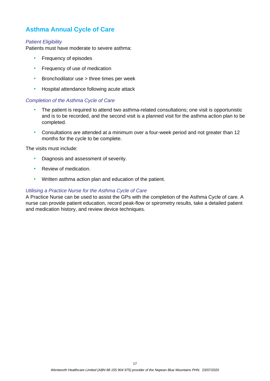## <span id="page-16-0"></span>**Asthma Annual Cycle of Care**

#### *Patient Eligibility*

Patients must have moderate to severe asthma:

- Frequency of episodes
- Frequency of use of medication
- Bronchodilator use > three times per week
- Hospital attendance following acute attack

#### *Completion of the Asthma Cycle of Care*

- The patient is required to attend two asthma-related consultations; one visit is opportunistic and is to be recorded, and the second visit is a planned visit for the asthma action plan to be completed.
- Consultations are attended at a minimum over a four-week period and not greater than 12 months for the cycle to be complete.

The visits must include:

- Diagnosis and assessment of severity.
- Review of medication.
- Written asthma action plan and education of the patient.

#### *Utilising a Practice Nurse for the Asthma Cycle of Care*

A Practice Nurse can be used to assist the GPs with the completion of the Asthma Cycle of care. A nurse can provide patient education, record peak-flow or spirometry results, take a detailed patient and medication history, and review device techniques.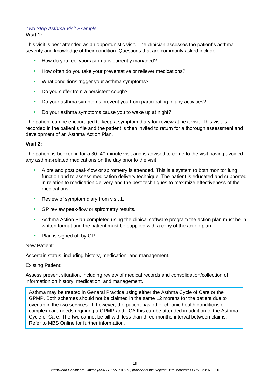#### *Two Step Asthma Visit Example* **Visit 1:**

This visit is best attended as an opportunistic visit. The clinician assesses the patient's asthma severity and knowledge of their condition. Questions that are commonly asked include:

- How do you feel your asthma is currently managed?
- How often do you take your preventative or reliever medications?
- What conditions trigger your asthma symptoms?
- Do you suffer from a persistent cough?
- Do your asthma symptoms prevent you from participating in any activities?
- Do your asthma symptoms cause you to wake up at night?

The patient can be encouraged to keep a symptom diary for review at next visit. This visit is recorded in the patient's file and the patient is then invited to return for a thorough assessment and development of an Asthma Action Plan.

#### **Visit 2:**

The patient is booked in for a 30–40-minute visit and is advised to come to the visit having avoided any asthma-related medications on the day prior to the visit.

- A pre and post peak-flow or spirometry is attended. This is a system to both monitor lung function and to assess medication delivery technique. The patient is educated and supported in relation to medication delivery and the best techniques to maximize effectiveness of the medications.
- Review of symptom diary from visit 1.
- GP review peak-flow or spirometry results.
- Asthma Action Plan completed using the clinical software program the action plan must be in written format and the patient must be supplied with a copy of the action plan.
- Plan is signed off by GP.

#### New Patient:

Ascertain status, including history, medication, and management.

#### Existing Patient:

Assess present situation, including review of medical records and consolidation/collection of information on history, medication, and management.

Asthma may be treated in General Practice using either the Asthma Cycle of Care or the GPMP. Both schemes should not be claimed in the same 12 months for the patient due to overlap in the two services. If, however, the patient has other chronic health conditions or complex care needs requiring a GPMP and TCA this can be attended in addition to the Asthma Cycle of Care. The two cannot be bill with less than three months interval between claims. Refer to MBS Online for further information.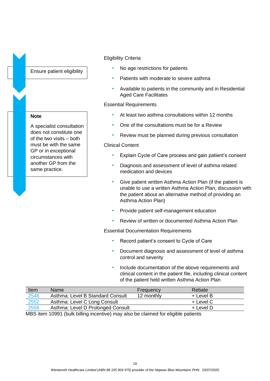Ensure patient eligibility

#### **Note**

A specialist consultation does not constitute one of the two visits – both must be with the same GP or in exceptional circumstances with another GP from the same practice.

#### Eligibility Criteria

- No age restrictions for patients
- Patients with moderate to severe asthma
- Available to patients in the community and in Residential Aged Care Facilitates

#### Essential Requirements

- At least two asthma consultations within 12 months
- One of the consultations must be for a Review
- Review must be planned during previous consultation

#### Clinical Content

- Explain Cycle of Care process and gain patient's consent
- Diagnosis and assessment of level of asthma related medication and devices
- Give patient written Asthma Action Plan (if the patient is unable to use a written Asthma Action Plan, discussion with the patient about an alternative method of providing an Asthma Action Plan)
- Provide patient self-management education
- Review of written or documented Asthma Action Plan

Essential Documentation Requirements

- Record patient's consent to Cycle of Care
- Document diagnosis and assessment of level of asthma control and severity
- Include documentation of the above requirements and clinical content in the patient file, including clinical content of the patient held written Asthma Action Plan

| Item | Name                              | <b>Frequency</b> | Rebate    |
|------|-----------------------------------|------------------|-----------|
| 2546 | Asthma: Level B Standard Consult  | 12 monthly       | + Level B |
| 2552 | Asthma: Level C Long Consult      |                  | + Level C |
| 2558 | Asthma: Level D Prolonged Consult |                  | + Level D |

MBS item 10991 (bulk billing incentive) may also be claimed for eligible patients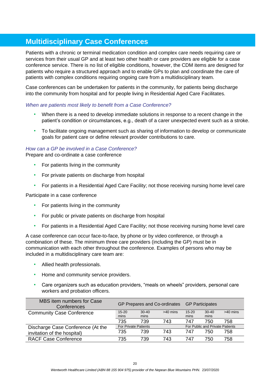## <span id="page-19-0"></span>**Multidisciplinary Case Conferences**

Patients with a chronic or terminal medication condition and complex care needs requiring care or services from their usual GP and at least two other health or care providers are eligible for a case conference service. There is no list of eligible conditions, however, the CDM items are designed for patients who require a structured approach and to enable GPs to plan and coordinate the care of patients with complex conditions requiring ongoing care from a multidisciplinary team.

Case conferences can be undertaken for patients in the community, for patients being discharge into the community from hospital and for people living in Residential Aged Care Facilitates.

#### *When are patients most likely to benefit from a Case Conference?*

- When there is a need to develop immediate solutions in response to a recent change in the patient's condition or circumstances, e.g., death of a carer unexpected event such as a stroke.
- To facilitate ongoing management such as sharing of information to develop or communicate goals for patient care or define relevant provider contributions to care.

#### *How can a GP be involved in a Case Conference?*

Prepare and co-ordinate a case conference

- For patients living in the community
- For private patients on discharge from hospital
- For patients in a Residential Aged Care Facility; not those receiving nursing home level care

Participate in a case conference

- For patients living in the community
- For public or private patients on discharge from hospital
- For patients in a Residential Aged Care Facility; not those receiving nursing home level care

A case conference can occur face-to-face, by phone or by video conference, or through a combination of these. The minimum three care providers (including the GP) must be in communication with each other throughout the conference. Examples of persons who may be included in a multidisciplinary care team are:

- Allied health professionals.
- Home and community service providers.
- Care organizers such as education providers, "meals on wheels" providers, personal care workers and probation officers.

| MBS item numbers for Case<br>Conferences | GP Prepares and Co-ordinates GP Participates |                             |            |           |                                 |            |
|------------------------------------------|----------------------------------------------|-----------------------------|------------|-----------|---------------------------------|------------|
| <b>Community Case Conference</b>         | $15 - 20$                                    | $30-40$                     | $>40$ mins | $15 - 20$ | $30-40$                         | $>40$ mins |
|                                          | mins                                         | mins                        |            | mins      | mins                            |            |
|                                          | 735                                          | 739                         | 743        | 747       | 750                             | 758        |
| Discharge Case Conference (At the        |                                              | <b>For Private Patients</b> |            |           | For Public and Private Patients |            |
| invitation of the hospital)              | 735                                          | 739                         | 743        | 747       | 750                             | 758        |
| <b>RACF Case Conference</b>              | 735                                          | 739                         | 743        | 747       | 750                             | 758        |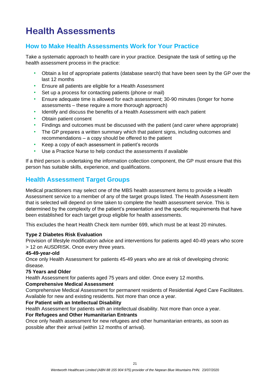# <span id="page-20-0"></span>**Health Assessments**

### <span id="page-20-1"></span>**How to Make Health Assessments Work for Your Practice**

Take a systematic approach to health care in your practice. Designate the task of setting up the health assessment process in the practice:

- Obtain a list of appropriate patients (database search) that have been seen by the GP over the last 12 months
- Ensure all patients are eligible for a Health Assessment
- Set up a process for contacting patients (phone or mail)
- Ensure adequate time is allowed for each assessment; 30-90 minutes (longer for home assessments – these require a more thorough approach)
- Identify and discuss the benefits of a Health Assessment with each patient
- Obtain patient consent
- Findings and outcomes must be discussed with the patient (and carer where appropriate)
- The GP prepares a written summary which that patient signs, including outcomes and recommendations – a copy should be offered to the patient
- Keep a copy of each assessment in patient's records
- Use a Practice Nurse to help conduct the assessments if available

If a third person is undertaking the information collection component, the GP must ensure that this person has suitable skills, experience, and qualifications.

### <span id="page-20-2"></span>**Health Assessment Target Groups**

Medical practitioners may select one of the MBS health assessment items to provide a Health Assessment service to a member of any of the target groups listed. The Health Assessment item that is selected will depend on time taken to complete the health assessment service. This is determined by the complexity of the patient's presentation and the specific requirements that have been established for each target group eligible for health assessments.

This excludes the heart Health Check item number 699, which must be at least 20 minutes.

#### **Type 2 Diabetes Risk Evaluation**

Provision of lifestyle modification advice and interventions for patients aged 40-49 years who score > 12 on AUSDRISK. Once every three years.

#### **45-49-year-old**

Once only Health Assessment for patients 45-49 years who are at risk of developing chronic disease.

#### **75 Years and Older**

Health Assessment for patients aged 75 years and older. Once every 12 months.

#### **Comprehensive Medical Assessment**

Comprehensive Medical Assessment for permanent residents of Residential Aged Care Facilitates. Available for new and existing residents. Not more than once a year.

#### **For Patient with an Intellectual Disability**

Health Assessment for patients with an intellectual disability. Not more than once a year.

#### **For Refugees and Other Humanitarian Entrants**

Once only health assessment for new refugees and other humanitarian entrants, as soon as possible after their arrival (within 12 months of arrival).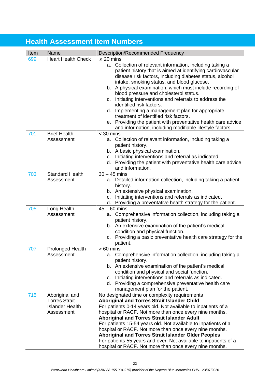## <span id="page-21-0"></span>**Health Assessment Item Numbers**

| Item | Name                                                                           | <b>Description/Recommended Frequency</b>                                                                                                                                                                                                                                                                                                                                                                                                                                                                                                                                                                 |
|------|--------------------------------------------------------------------------------|----------------------------------------------------------------------------------------------------------------------------------------------------------------------------------------------------------------------------------------------------------------------------------------------------------------------------------------------------------------------------------------------------------------------------------------------------------------------------------------------------------------------------------------------------------------------------------------------------------|
| 699  | <b>Heart Health Check</b>                                                      | $\geq$ 20 mins                                                                                                                                                                                                                                                                                                                                                                                                                                                                                                                                                                                           |
|      |                                                                                | Collection of relevant information, including taking a<br>а.<br>patient history that is aimed at identifying cardiovascular<br>disease risk factors, including diabetes status, alcohol<br>intake, smoking status, and blood glucose.<br>A physical examination, which must include recording of<br>b.<br>blood pressure and cholesterol status.<br>Initiating interventions and referrals to address the<br>C.<br>identified risk factors.<br>d. Implementing a management plan for appropriate                                                                                                         |
|      |                                                                                | treatment of identified risk factors.<br>e. Providing the patient with preventative health care advice                                                                                                                                                                                                                                                                                                                                                                                                                                                                                                   |
|      |                                                                                | and information, including modifiable lifestyle factors.                                                                                                                                                                                                                                                                                                                                                                                                                                                                                                                                                 |
| 701  | <b>Brief Health</b>                                                            | $<$ 30 mins                                                                                                                                                                                                                                                                                                                                                                                                                                                                                                                                                                                              |
|      | Assessment                                                                     | a. Collection of relevant information, including taking a<br>patient history.<br>b. A basic physical examination.<br>Initiating interventions and referral as indicated.<br>C.<br>d. Providing the patient with preventative health care advice<br>and information.                                                                                                                                                                                                                                                                                                                                      |
| 703  | <b>Standard Health</b>                                                         | $30 - 45$ mins                                                                                                                                                                                                                                                                                                                                                                                                                                                                                                                                                                                           |
|      | Assessment                                                                     | a. Detailed information collection, including taking a patient<br>history.<br>An extensive physical examination.<br>b.<br>Initiating interventions and referrals as indicated.<br>C.<br>Providing a preventative health strategy for the patient.<br>d.                                                                                                                                                                                                                                                                                                                                                  |
| 705  | Long Health                                                                    | $45 - 60$ mins                                                                                                                                                                                                                                                                                                                                                                                                                                                                                                                                                                                           |
|      | Assessment                                                                     | Comprehensive information collection, including taking a<br>а.<br>patient history.<br>b. An extensive examination of the patient's medical<br>condition and physical function.<br>Providing a basic preventative health care strategy for the<br>C.<br>patient.                                                                                                                                                                                                                                                                                                                                          |
| 707  | <b>Prolonged Health</b><br>Assessment                                          | 60 mins<br>a. Comprehensive information collection, including taking a<br>patient history.<br>b. An extensive examination of the patient's medical<br>condition and physical and social function.<br>Initiating interventions and referrals as indicated.<br>c.<br>d. Providing a comprehensive preventative health care<br>management plan for the patient.                                                                                                                                                                                                                                             |
| 715  | Aboriginal and<br><b>Torres Strait</b><br><b>Islander Health</b><br>Assessment | No designated time or complexity requirements<br><b>Aboriginal and Torres Strait Islander Child</b><br>For patients 0-14 years old. Not available to inpatients of a<br>hospital or RACF. Not more than once every nine months.<br><b>Aboriginal and Torres Strait Islander Adult</b><br>For patients 15-54 years old. Not available to inpatients of a<br>hospital or RACF. Not more than once every nine months.<br>Aboriginal and Torres Strait Islander Older Peoples<br>For patients 55 years and over. Not available to inpatients of a<br>hospital or RACF. Not more than once every nine months. |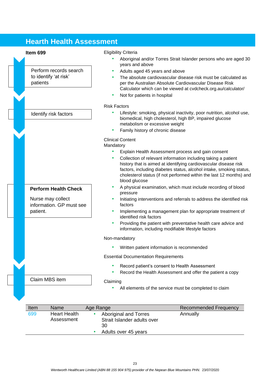## <span id="page-22-0"></span>**Hearth Health Assessment**

Perform records search to identify 'at risk' patients

#### Identify risk factors

### **Perform Health Check**

Nurse may collect information. GP must see patient.

Claim MBS item

#### **Item 699** Eligibility Criteria

- Aboriginal and/or Torres Strait Islander persons who are aged 30 years and above
- Adults aged 45 years and above
- The absolute cardiovascular disease risk must be calculated as per the Australian Absolute Cardiovascular Disease Risk Calculator which can be viewed at cvdcheck.org.au/calculator/
- Not for patients in hospital

#### Risk Factors

- Lifestyle: smoking, physical inactivity, poor nutrition, alcohol use, biomedical, high cholesterol, high BP, impaired glucose metabolism or excessive weight
- Family history of chronic disease

#### Clinical Content

#### Mandatory

- Explain Health Assessment process and gain consent
- Collection of relevant information including taking a patient history that is aimed at identifying cardiovascular disease risk factors, including diabetes status, alcohol intake, smoking status, cholesterol status (if not performed within the last 12 months) and blood glucose
- A physical examination, which must include recording of blood pressure
- Initiating interventions and referrals to address the identified risk factors
- Implementing a management plan for appropriate treatment of identified risk factors
- Providing the patient with preventative health care advice and information, including modifiable lifestyle factors

#### Non-mandatory

• Written patient information is recommended

Essential Documentation Requirements

- Record patient's consent to Health Assessment
- Record the Health Assessment and offer the patient a copy

#### Claiming

• All elements of the service must be completed to claim

| Item | Name                              | Age Range                                                                          | Recommended Frequency |
|------|-----------------------------------|------------------------------------------------------------------------------------|-----------------------|
| 699  | <b>Heart Health</b><br>Assessment | Aboriginal and Torres<br>Strait Islander adults over<br>30<br>Adults over 45 years | Annually              |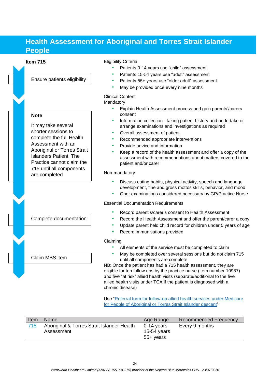## <span id="page-23-0"></span>**Health Assessment for Aboriginal and Torres Strait Islander People**

## Ensure patients eligibility

#### **Note**

It may take several shorter sessions to complete the full Health Assessment with an Aboriginal or Torres Strait Islanders Patient. The Practice cannot claim the 715 until all components are completed

#### Complete documentation

Claim MBS item

#### **Item 715** Eligibility Criteria

- Patients 0-14 years use "child" assessment
- Patients 15-54 years use "adult" assessment
- Patients 55+ years use "older adult" assessment
- May be provided once every nine months

#### Clinical Content

Mandatory

- Explain Health Assessment process and gain parents'/carers consent
- Information collection taking patient history and undertake or arrange examinations and investigations as required
- Overall assessment of patient
- Recommended appropriate interventions
- Provide advice and information
- Keep a record of the health assessment and offer a copy of the assessment with recommendations about matters covered to the patient and/or carer

#### Non-mandatory

- Discuss eating habits, physical activity, speech and language development, fine and gross mottos skills, behavior, and mood
- Oher examinations considered necessary by GP/Practice Nurse

#### Essential Documentation Requirements

- Record parent's/carer's consent to Health Assessment
- Record the Health Assessment and offer the parent/carer a copy
- Update parent held child record for children under 5 years of age
- Record immunisations provided

#### Claiming

- All elements of the service must be completed to claim
- May be completed over several sessions but do not claim 715 until all components are complete

NB: Once the patient has had a 715 health assessment, they are eligible for ten follow ups by the practice nurse (item number 10987) and five "at risk" allied health visits (separate/additional to the five allied health visits under TCA if the patient is diagnosed with a chronic disease)

Use ["Referral form for follow-up allied health services under Medicare](https://www1.health.gov.au/internet/main/publishing.nsf/Content/61D28A6649DBD87FCA257BF0001F954E/%24File/Indigenous%20follow%20up%20referral%20form.pdf)  [for People of Aboriginal or Torres Strait Islander descent"](https://www1.health.gov.au/internet/main/publishing.nsf/Content/61D28A6649DBD87FCA257BF0001F954E/%24File/Indigenous%20follow%20up%20referral%20form.pdf)

| Item | <b>Name</b>                                              | Age Range                                | <b>Recommended Frequency</b> |
|------|----------------------------------------------------------|------------------------------------------|------------------------------|
| 715  | Aboriginal & Torres Strait Islander Health<br>Assessment | $0-14$ years<br>15-54 years<br>55+ years | Every 9 months               |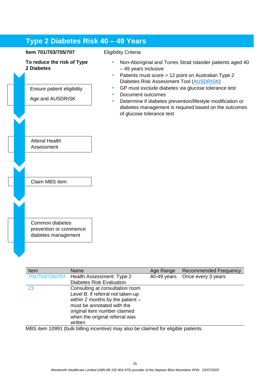## <span id="page-24-0"></span>**Type 2 Diabetes Risk 40 – 49 Years**

#### **Item 701/703/705/707**

#### **To reduce the risk of Type 2 Diabetes**



prevention or commence diabetes management

#### Eligibility Criteria

- Non-Aboriginal and Torres Strait Islander patients aged 40 – 49 years inclusive
- Patients must score > 12 point on Australian Type 2 Diabetes Risk Assessment Tool [\(AUSDRISK\)](https://www.health.gov.au/resources/apps-and-tools/the-australian-type-2-diabetes-risk-assessment-tool-ausdrisk)
- GP must exclude diabetes via glucose tolerance test
- Document outcomes
- Determine if diabetes prevention/lifestyle modification or diabetes management is required based on the outcomes of glucose tolerance test

| Item            | Name                               | Age Range   | <b>Recommended Frequency</b> |
|-----------------|------------------------------------|-------------|------------------------------|
| 701/703/705/707 | Health Assessment: Type 2          | 40-49 years | Once every 3 years           |
|                 | <b>Diabetes Risk Evaluation</b>    |             |                              |
| 23              | Consulting at consultation room    |             |                              |
|                 | Level B: if referral not taken-up  |             |                              |
|                 | within 2 months by the patient $-$ |             |                              |
|                 | must be annotated with the         |             |                              |
|                 | original item number claimed       |             |                              |
|                 | when the original referral was     |             |                              |
|                 | written                            |             |                              |
|                 |                                    |             |                              |

MBS item 10991 (bulk billing incentive) may also be claimed for eligible patients.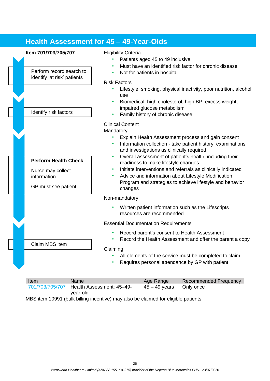## <span id="page-25-0"></span>**Health Assessment for 45 – 49-Year-Olds**



• Lifestyle: smoking, physical inactivity, poor nutrition, alcohol

- Biomedical: high cholesterol, high BP, excess weight, impaired glucose metabolism
- Family history of chronic disease
- Explain Health Assessment process and gain consent
- Information collection take patient history, examinations and investigations as clinically required
- Overall assessment of patient's health, including their readiness to make lifestyle changes
- Initiate interventions and referrals as clinically indicated
- Advice and information about Lifestyle Modification Program and strategies to achieve lifestyle and behavior
- Written patient information such as the Lifescripts resources are recommended

Essential Documentation Requirements

- Record parent's consent to Health Assessment
- Record the Health Assessment and offer the parent a copy
- All elements of the service must be completed to claim
- Requires personal attendance by GP with patient

| Item            | <b>Name</b>               | Age Range       | <b>Recommended Frequency</b> |
|-----------------|---------------------------|-----------------|------------------------------|
| 701/703/705/707 | Health Assessment: 45-49- | $45 - 49$ years | Only once                    |
|                 | vear-old                  |                 |                              |

MBS item 10991 (bulk billing incentive) may also be claimed for eligible patients.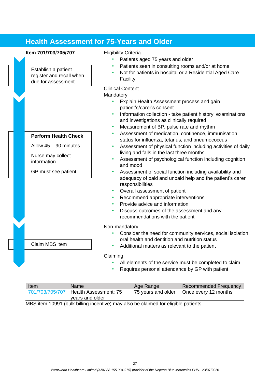## <span id="page-26-0"></span>**Health Assessment for 75-Years and Older**

#### **Item 701/703/705/707** Eligibility Criteria

Establish a patient register and recall when due for assessment

#### **Perform Health Check**

Allow 45 – 90 minutes

Nurse may collect information

Claim MBS item

GP must see patient

- Patients aged 75 years and older
- Patients seen in consulting rooms and/or at home
- Not for patients in hospital or a Residential Aged Care Facility

#### Clinical Content

Mandatory

- Explain Health Assessment process and gain patient's/carer's consent
- Information collection take patient history, examinations and investigations as clinically required
- Measurement of BP, pulse rate and rhythm
- Assessment of medication, continence, immunisation status for influenza, tetanus, and pneumococcus
- Assessment of physical function including activities of daily living and falls in the last three months
- Assessment of psychological function including cognition and mood
- Assessment of social function including availability and adequacy of paid and unpaid help and the patient's carer responsibilities
- Overall assessment of patient
- Recommend appropriate interventions
- Provide advice and information
- Discuss outcomes of the assessment and any recommendations with the patient

#### Non-mandatory

• Consider the need for community services, social isolation, oral health and dentition and nutrition status

#### • Additional matters as relevant to the patient

#### Claiming

- All elements of the service must be completed to claim
- Requires personal attendance by GP with patient

| Item                                                                              | Name                                     | Age Range          | <b>Recommended Frequency</b> |  |
|-----------------------------------------------------------------------------------|------------------------------------------|--------------------|------------------------------|--|
| 701/703/705/707                                                                   | Health Assessment: 75<br>years and older | 75 years and older | Once every 12 months         |  |
| MRS item 10001 (bulk billing incentive) may also be claimed for eligible patients |                                          |                    |                              |  |

MBS item 10991 (bulk billing incentive) may also be claimed for eligible patients.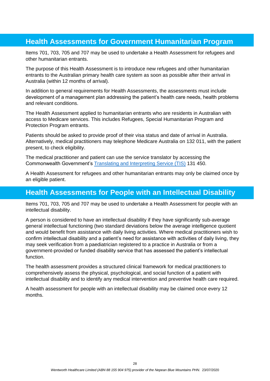## <span id="page-27-0"></span>**Health Assessments for Government Humanitarian Program**

Items 701, 703, 705 and 707 may be used to undertake a Health Assessment for refugees and other humanitarian entrants.

The purpose of this Health Assessment is to introduce new refugees and other humanitarian entrants to the Australian primary health care system as soon as possible after their arrival in Australia (within 12 months of arrival).

In addition to general requirements for Health Assessments, the assessments must include development of a management plan addressing the patient's health care needs, health problems and relevant conditions.

The Health Assessment applied to humanitarian entrants who are residents in Australian with access to Medicare services. This includes Refugees, Special Humanitarian Program and Protection Program entrants.

Patients should be asked to provide proof of their visa status and date of arrival in Australia. Alternatively, medical practitioners may telephone Medicare Australia on 132 011, with the patient present, to check eligibility.

The medical practitioner and patient can use the service translator by accessing the Commonwealth Government's [Translating and Interpreting Service \(TIS\)](https://www.tisnational.gov.au/) 131 450.

A Health Assessment for refugees and other humanitarian entrants may only be claimed once by an eligible patient.

## <span id="page-27-1"></span>**Health Assessments for People with an Intellectual Disability**

Items 701, 703, 705 and 707 may be used to undertake a Health Assessment for people with an intellectual disability.

A person is considered to have an intellectual disability if they have significantly sub-average general intellectual functioning (two standard deviations below the average intelligence quotient and would benefit from assistance with daily living activities. Where medical practitioners wish to confirm intellectual disability and a patient's need for assistance with activities of daily living, they may seek verification from a paediatrician registered to a practice in Australia or from a government-provided or funded disability service that has assessed the patient's intellectual function.

The health assessment provides a structured clinical framework for medical practitioners to comprehensively assess the physical, psychological, and social function of a patient with intellectual disability and to identify any medical intervention and preventive health care required.

A health assessment for people with an intellectual disability may be claimed once every 12 months.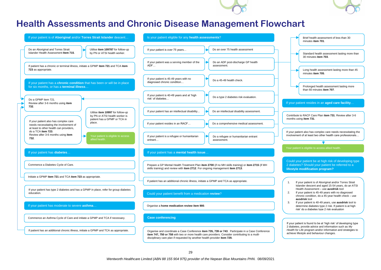



## **Health Assessments and Chronic Disease Management Flowchart**

<span id="page-28-0"></span>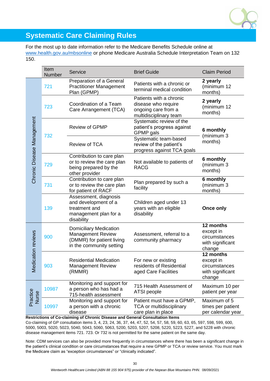

## <span id="page-29-0"></span>**Systematic Care Claiming Rules**

For the most up to date information refer to the Medicare Benefits Schedule online at [www.health.gov.au/mbsonline](http://www.health.gov.au/mbsonline) or phone Medicare Australia Schedule Interpretation Team on 132 150.

|                            | Item<br><b>Number</b> | Service                                                                                                                                           | <b>Brief Guide</b>                                                                              | <b>Claim Period</b>                                                   |
|----------------------------|-----------------------|---------------------------------------------------------------------------------------------------------------------------------------------------|-------------------------------------------------------------------------------------------------|-----------------------------------------------------------------------|
|                            | 721                   | Preparation of a General<br><b>Practitioner Management</b><br>Plan (GPMP)                                                                         | Patients with a chronic or<br>terminal medical condition                                        | 2 yearly<br>(minimum 12<br>months)                                    |
|                            | 723                   | Coordination of a Team<br>Care Arrangement (TCA)                                                                                                  | Patients with a chronic<br>disease who require<br>ongoing care from a<br>multidisciplinary team | 2 yearly<br>(minimum 12<br>months)                                    |
|                            | 732                   | <b>Review of GPMP</b>                                                                                                                             | Systematic review of the<br>patient's progress against<br>GPMP gals                             | 6 monthly<br>(minimum 3                                               |
|                            |                       | <b>Review of TCA</b>                                                                                                                              | Systematic team-based<br>review of the patient's<br>progress against TCA goals                  | months)                                                               |
| Chronic Disease Management | 729                   | Contribution to care plan<br>or to review the care plan<br>being prepared by the<br>other provider                                                | Not available to patients of<br><b>RACG</b>                                                     | 6 monthly<br>(minimum 3<br>months)                                    |
|                            | 731                   | Contribution to care plan<br>or to review the care plan<br>for patient of RACF                                                                    | Plan prepared by such a<br>facility                                                             | 6 monthly<br>(minimum 3<br>months)                                    |
|                            | 139                   | Assessment, diagnosis<br>and development of a<br>treatment and<br>management plan for a<br>disability                                             | Children aged under 13<br>years with an eligible<br>disability                                  | Once only                                                             |
| Medication reviews         | 900                   | <b>Domiciliary Medication</b><br>Management Review<br>(DMMR) for patient living<br>in the community setting                                       | Assessment, referral to a<br>community pharmacy                                                 | 12 months<br>except in<br>circumstances<br>with significant<br>change |
|                            | 903                   | <b>Residential Medication</b><br><b>Management Review</b><br>(RMMR)                                                                               | For new or existing<br>residents of Residential<br>aged Care Facilities                         | 12 months<br>except in<br>circumstances<br>with significant<br>change |
| Practice<br>Nurse          | 10987                 | Monitoring and support for<br>a person who has had a<br>715-health assessment                                                                     | 715 Health Assessment of<br>ATSI people                                                         | Maximum 10 per<br>patient per year                                    |
|                            | 10997                 | Monitoring and support for<br>a person with a chronic<br>disease<br>Restrictions of Co-claiming of Chronic Disease and General Consultation Items | Patient must have a GPMP,<br><b>TCA or multidisciplinary</b><br>care plan in place              | Maximum of 5<br>times per patient<br>per calendar year                |

Co-claiming of GP consultation items 3, 4, 23, 24, 36, 37, 44, 47, 52, 54, 57, 58, 59, 60, 63, 65, 597, 598, 599, 600, 5000, 5003, 5020, 5023, 5040, 5043, 5060, 5063, 5200, 5203, 5207, 5208, 5220, 5223, 5227, and 5228 with chronic disease management items 721. 723. Or 732 is not permitted for the same patient on the same day.

Note: CDM services can also be provided more frequently in circumstances where there has been a significant change in the patient's clinical condition or care circumstances that require a new GPMP or TCA or review service. You must mark the Medicare claim as "exception circumstances" or "clinically indicated".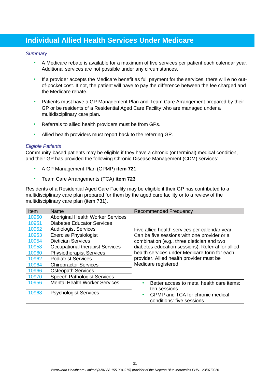## <span id="page-30-0"></span>**Individual Allied Health Services Under Medicare**

#### *Summary*

- A Medicare rebate is available for a maximum of five services per patient each calendar year. Additional services are not possible under any circumstances.
- If a provider accepts the Medicare benefit as full payment for the services, there will e no outof-pocket cost. If not, the patient will have to pay the difference between the fee charged and the Medicare rebate.
- Patients must have a GP Management Plan and Team Care Arrangement prepared by their GP or be residents of a Residential Aged Care Facility who are managed under a multidisciplinary care plan.
- Referrals to allied health providers must be from GPs.
- Allied health providers must report back to the referring GP.

#### *Eligible Patients*

Community-based patients may be eligible if they have a chronic (or terminal) medical condition, and their GP has provided the following Chronic Disease Management (CDM) services:

- A GP Management Plan (GPMP) **item 721**
- Team Care Arrangements (TCA) **item 723**

Residents of a Residential Aged Care Facility may be eligible if their GP has contributed to a multidisciplinary care plan prepared for them by the aged care facility or to a review of the multidisciplinary care plan (item 731).

| Item  | Name                                 | <b>Recommended Frequency</b>                      |
|-------|--------------------------------------|---------------------------------------------------|
| 10950 | Aboriginal Health Worker Services    |                                                   |
| 10951 | <b>Diabetes Educator Services</b>    |                                                   |
| 10952 | <b>Audiologist Services</b>          | Five allied health services per calendar year.    |
| 10953 | <b>Exercise Physiologist</b>         | Can be five sessions with one provider or a       |
| 10954 | <b>Dietician Services</b>            | combination (e.g., three dietician and two        |
| 10958 | Occupational therapist Services      | diabetes education sessions). Referral for allied |
| 10960 | <b>Physiotherapist Services</b>      | health services under Medicare form for each      |
| 10962 | <b>Podiatrist Services</b>           | provider. Allied health provider must be          |
| 10964 | <b>Chiropractor Services</b>         | Medicare registered.                              |
| 10966 | <b>Osteopath Services</b>            |                                                   |
| 10970 | <b>Speech Pathologist Services</b>   |                                                   |
| 10956 | <b>Mental Health Worker Services</b> | Better access to metal health care items:         |
|       |                                      | ten sessions                                      |
| 10968 | <b>Psychologist Services</b>         | <b>GPMP</b> and TCA for chronic medical           |
|       |                                      | conditions: five sessions                         |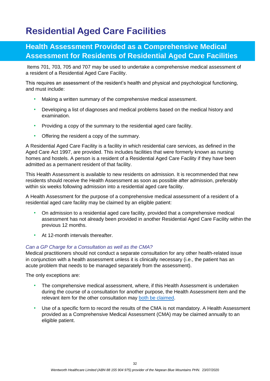## <span id="page-31-0"></span>**Residential Aged Care Facilities**

## <span id="page-31-1"></span>**Health Assessment Provided as a Comprehensive Medical Assessment for Residents of Residential Aged Care Facilities**

Items 701, 703, 705 and 707 may be used to undertake a comprehensive medical assessment of a resident of a Residential Aged Care Facility.

This requires an assessment of the resident's health and physical and psychological functioning, and must include:

- Making a written summary of the comprehensive medical assessment.
- Developing a list of diagnoses and medical problems based on the medical history and examination.
- Providing a copy of the summary to the residential aged care facility.
- Offering the resident a copy of the summary.

A Residential Aged Care Facility is a facility in which residential care services, as defined in the Aged Care Act 1997, are provided. This includes facilities that were formerly known as nursing homes and hostels. A person is a resident of a Residential Aged Care Facility if they have been admitted as a permanent resident of that facility.

This Health Assessment is available to new residents on admission. It is recommended that new residents should receive the Health Assessment as soon as possible after admission, preferably within six weeks following admission into a residential aged care facility.

A Health Assessment for the purpose of a comprehensive medical assessment of a resident of a residential aged care facility may be claimed by an eligible patient:

- On admission to a residential aged care facility, provided that a comprehensive medical assessment has not already been provided in another Residential Aged Care Facility within the previous 12 months.
- At 12-month intervals thereafter.

#### *Can a GP Charge for a Consultation as well as the CMA?*

Medical practitioners should not conduct a separate consultation for any other health-related issue in conjunction with a health assessment unless it is clinically necessary (i.e., the patient has an acute problem that needs to be managed separately from the assessment).

The only exceptions are:

- The comprehensive medical assessment, where, if this Health Assessment is undertaken during the course of a consultation for another purpose, the Health Assessment item and the relevant item for the other consultation may [both be claimed.](https://www1.health.gov.au/internet/main/publishing.nsf/Content/mbsprimarycare_mbsitem_cma)
- Use of a specific form to record the results of the CMA is not mandatory. A Health Assessment provided as a Comprehensive Medical Assessment (CMA) may be claimed annually to an eligible patient.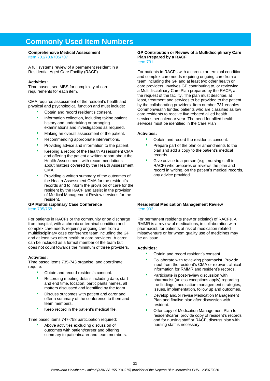## <span id="page-32-0"></span>**Commonly Used Item Numbers**

**Comprehensive Medical Assessment** 

| Item 701/703/705/707                                                                                                                                                                                                                                                                                                                               | Plan Prepared by a RACF                                                                                                                                                                                                                                                                                                                                                                                                        |
|----------------------------------------------------------------------------------------------------------------------------------------------------------------------------------------------------------------------------------------------------------------------------------------------------------------------------------------------------|--------------------------------------------------------------------------------------------------------------------------------------------------------------------------------------------------------------------------------------------------------------------------------------------------------------------------------------------------------------------------------------------------------------------------------|
|                                                                                                                                                                                                                                                                                                                                                    | Item $731$                                                                                                                                                                                                                                                                                                                                                                                                                     |
| A full systems review of a permanent resident in a<br><b>Residential Aged Care Facility (RACF)</b><br><b>Activities:</b><br>Time based, see MBS for complexity of care<br>requirements for each item.<br>CMA requires assessment of the resident's health and                                                                                      | For patients in RACFs with a chronic or terminal condition<br>and complex care needs requiring ongoing care from a<br>team including the GP and at least two other health or<br>care providers. Involves GP contributing to, or reviewing,<br>a Multidisciplinary Care Plan prepared by the RACF, at<br>the request of the facility. The plan must describe, at<br>least, treatment and services to be provided to the patient |
| physical and psychological function and must include:                                                                                                                                                                                                                                                                                              | by the collaborating providers. Item number 731 enables                                                                                                                                                                                                                                                                                                                                                                        |
| Obtain and record resident's consent.                                                                                                                                                                                                                                                                                                              | Commonwealth funded patients who are classified as low<br>care residents to receive five rebated allied health                                                                                                                                                                                                                                                                                                                 |
| ٠<br>Information collection, including taking patient<br>history and undertaking or arranging<br>examinations and investigations as required.                                                                                                                                                                                                      | services per calendar year. The need for allied health<br>services must be identified in the Care Plan                                                                                                                                                                                                                                                                                                                         |
| Making an overall assessment of the patient.<br>٠                                                                                                                                                                                                                                                                                                  | <b>Activities:</b>                                                                                                                                                                                                                                                                                                                                                                                                             |
| Recommending appropriate interventions.<br>٠                                                                                                                                                                                                                                                                                                       | ٠<br>Obtain and record the resident's consent.                                                                                                                                                                                                                                                                                                                                                                                 |
| Providing advice and information to the patient.<br>٠<br>Keeping a record of the Health Assessment CMA<br>٠                                                                                                                                                                                                                                        | Prepare part of the plan or amendments to the<br>plan and add a copy to the patient's medical                                                                                                                                                                                                                                                                                                                                  |
| and offering the patient a written report about the                                                                                                                                                                                                                                                                                                | records.                                                                                                                                                                                                                                                                                                                                                                                                                       |
| Health Assessment, with recommendations<br>about matters covered by the Health Assessment<br>CMA.                                                                                                                                                                                                                                                  | ٠<br>Give advice to a person (e.g., nursing staff in<br>RACF) who prepares or reviews the plan and<br>record in writing, on the patient's medical records,                                                                                                                                                                                                                                                                     |
| ٠<br>Providing a written summary of the outcomes of<br>the Health Assessment CMA for the resident's<br>records and to inform the provision of care for the<br>resident by the RACF and assist in the provision<br>of Medical Management Review services for the<br>resident.                                                                       | any advice provided.                                                                                                                                                                                                                                                                                                                                                                                                           |
| <b>GP Multidisciplinary Case Conference</b>                                                                                                                                                                                                                                                                                                        | <b>Residential Medication Management Review</b>                                                                                                                                                                                                                                                                                                                                                                                |
| Item 735/758                                                                                                                                                                                                                                                                                                                                       | Item 903                                                                                                                                                                                                                                                                                                                                                                                                                       |
|                                                                                                                                                                                                                                                                                                                                                    |                                                                                                                                                                                                                                                                                                                                                                                                                                |
| For patients in RACFs or the community or on discharge<br>from hospital, with a chronic or terminal condition and<br>complex care needs requiring ongoing care from a<br>multidisciplinary case conference team including the GP<br>and at least two other health or care providers. A carer<br>can be included as a formal member of the team but | For permanent residents (new or existing) of RACFs. A<br>RMMR is a review of medications, in collaboration with<br>pharmacist, for patients at risk of medication related<br>misadventure or for whom quality use of medicines may<br>be an issue.                                                                                                                                                                             |
| does not count towards the minimum of three providers.                                                                                                                                                                                                                                                                                             | <b>Activities:</b>                                                                                                                                                                                                                                                                                                                                                                                                             |
|                                                                                                                                                                                                                                                                                                                                                    | Obtain and record resident's consent.                                                                                                                                                                                                                                                                                                                                                                                          |
| <b>Activities:</b><br>Time based items 735-743 organise, and coordinate<br>require:                                                                                                                                                                                                                                                                | Collaborate with reviewing pharmacist. Provide<br>input from the resident's CMA or relevant clinical<br>information for RMMR and resident's records.                                                                                                                                                                                                                                                                           |
| Obtain and record resident's consent.                                                                                                                                                                                                                                                                                                              | ٠                                                                                                                                                                                                                                                                                                                                                                                                                              |
| Recording meeting details including date, start<br>and end time, location, participants names, all<br>matters discussed and identified by the team.                                                                                                                                                                                                | Participate in post-review discussion with<br>pharmacist (unless exceptions apply) regarding<br>the findings, medication management strategies,<br>issues, implementation, follow up and outcomes.                                                                                                                                                                                                                             |
| ۰<br>Discuss outcomes with patient and carer and<br>offer a summary of the conference to them and<br>team members.                                                                                                                                                                                                                                 | Develop and/or revise Medication Management<br>Plan and finalise plan after discussion with<br>resident.                                                                                                                                                                                                                                                                                                                       |
| Keep record in the patient's medical file.                                                                                                                                                                                                                                                                                                         | ۰<br>Offer copy of Medication Management Plan to<br>resident/carer, provide copy of resident's records                                                                                                                                                                                                                                                                                                                         |

**GP Contribution or Review of a Multidisciplinary Care** 

• Above activities excluding discussion of outcomes with patient/career and offering summary to patient/carer and team members.

nursing staff is necessary.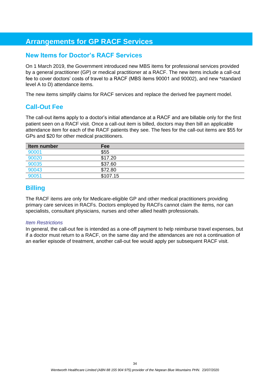## <span id="page-33-0"></span>**Arrangements for GP RACF Services**

### <span id="page-33-1"></span>**New Items for Doctor's RACF Services**

On 1 March 2019, the Government introduced new MBS items for professional services provided by a general practitioner (GP) or medical practitioner at a RACF. The new items include a call-out fee to cover doctors' costs of travel to a RACF (MBS items 90001 and 90002), and new \*standard level A to D) attendance items.

The new items simplify claims for RACF services and replace the derived fee payment model.

### <span id="page-33-2"></span>**Call-Out Fee**

The call-out items apply to a doctor's initial attendance at a RACF and are billable only for the first patient seen on a RACF visit. Once a call-out item is billed, doctors may then bill an applicable attendance item for each of the RACF patients they see. The fees for the call-out items are \$55 for GPs and \$20 for other medical practitioners.

| Item number | Fee      |  |
|-------------|----------|--|
| 90001       | \$55     |  |
| 90020       | \$17.20  |  |
| 90035       | \$37.60  |  |
| 90043       | \$72.80  |  |
| 90051       | \$107.15 |  |

### <span id="page-33-3"></span>**Billing**

The RACF items are only for Medicare-eligible GP and other medical practitioners providing primary care services in RACFs. Doctors employed by RACFs cannot claim the items, nor can specialists, consultant physicians, nurses and other allied health professionals.

#### *Item Restrictions*

In general, the call-out fee is intended as a one-off payment to help reimburse travel expenses, but if a doctor must return to a RACF, on the same day and the attendances are not a continuation of an earlier episode of treatment, another call-out fee would apply per subsequent RACF visit.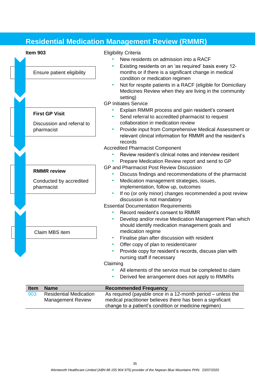<span id="page-34-0"></span>

|                                                                   | <b>Residential Medication Management Review (RMMR)</b>                                                                                                                                                                                                                                                                                                                |
|-------------------------------------------------------------------|-----------------------------------------------------------------------------------------------------------------------------------------------------------------------------------------------------------------------------------------------------------------------------------------------------------------------------------------------------------------------|
| Item 903<br>Ensure patient eligibility                            | <b>Eligibility Criteria</b><br>New residents on admission into a RACF<br>Existing residents on an 'as required' basis every 12-<br>months or if there is a significant change in medical<br>condition or medication regimen<br>Not for respite patients in a RACF (eligible for Domiciliary<br>Medicines Review when they are living in the community                 |
| <b>First GP Visit</b><br>Discussion and referral to<br>pharmacist | setting)<br><b>GP Initiates Service</b><br>Explain RMMR process and gain resident's consent<br>Send referral to accredited pharmacist to request<br>collaboration in medication review<br>Provide input from Comprehensive Medical Assessment or<br>$\bullet$<br>relevant clinical information for RMMR and the resident's                                            |
| <b>RMMR</b> review<br>Conducted by accredited<br>pharmacist       | records<br><b>Accredited Pharmacist Component</b><br>Review resident's clinical notes and interview resident<br>Prepare Medication Review report and send to GP<br><b>GP and Pharmacist Post Review Discussion</b><br>Discuss findings and recommendations of the pharmacist<br>Medication management strategies, issues,<br>٠<br>implementation, follow up, outcomes |
| Claim MBS item                                                    | If no (or only minor) changes recommended a post review<br>discussion is not mandatory<br><b>Essential Documentation Requirements</b><br>Record resident's consent to RMMR<br>Develop and/or revise Medication Management Plan which<br>٠<br>should identify medication management goals and<br>medication regime                                                     |
|                                                                   | Finalise plan after discussion with resident<br>Offer copy of plan to resident/carer<br>Provide copy for resident's records, discuss plan with<br>nursing staff if necessary<br>Claiming<br>All elements of the service must be completed to claim<br>Derived fee arrangement does not apply to RMMRs<br>٠                                                            |
| <b>Name</b><br><b>Item</b>                                        | <b>Recommended Frequency</b>                                                                                                                                                                                                                                                                                                                                          |
| <b>Residential Medication</b><br>903<br><b>Management Review</b>  | As required (payable once in a 12-month period – unless the<br>medical practitioner believes there has been a significant                                                                                                                                                                                                                                             |

change to a patient's condition or medicine regimen)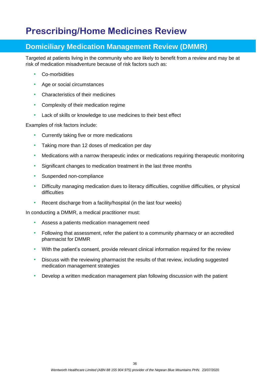## <span id="page-35-0"></span>**Prescribing/Home Medicines Review**

## <span id="page-35-1"></span>**Domiciliary Medication Management Review (DMMR)**

Targeted at patients living in the community who are likely to benefit from a review and may be at risk of medication misadventure because of risk factors such as:

- Co-morbidities
- Age or social circumstances
- Characteristics of their medicines
- Complexity of their medication regime
- Lack of skills or knowledge to use medicines to their best effect

Examples of risk factors include:

- Currently taking five or more medications
- Taking more than 12 doses of medication per day
- Medications with a narrow therapeutic index or medications requiring therapeutic monitoring
- Significant changes to medication treatment in the last three months
- Suspended non-compliance
- Difficulty managing medication dues to literacy difficulties, cognitive difficulties, or physical difficulties
- Recent discharge from a facility/hospital (in the last four weeks)

In conducting a DMMR, a medical practitioner must:

- Assess a patients medication management need
- Following that assessment, refer the patient to a community pharmacy or an accredited pharmacist for DMMR
- With the patient's consent, provide relevant clinical information required for the review
- Discuss with the reviewing pharmacist the results of that review, including suggested medication management strategies
- Develop a written medication management plan following discussion with the patient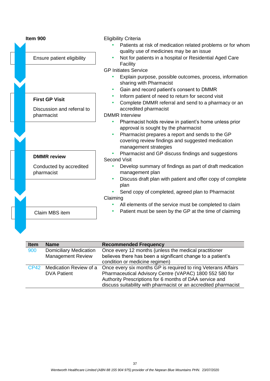| Item 900                              | <b>Eligibility Criteria</b>                                                                             |  |  |  |  |  |  |
|---------------------------------------|---------------------------------------------------------------------------------------------------------|--|--|--|--|--|--|
|                                       | Patients at risk of medication related problems or for whom<br>quality use of medicines may be an issue |  |  |  |  |  |  |
| Ensure patient eligibility            | Not for patients in a hospital or Residential Aged Care<br>Facility                                     |  |  |  |  |  |  |
|                                       | <b>GP Initiates Service</b>                                                                             |  |  |  |  |  |  |
|                                       | Explain purpose, possible outcomes, process, information<br>sharing with Pharmacist                     |  |  |  |  |  |  |
|                                       | Gain and record patient's consent to DMMR                                                               |  |  |  |  |  |  |
| <b>First GP Visit</b>                 | Inform patient of need to return for second visit                                                       |  |  |  |  |  |  |
|                                       | Complete DMMR referral and send to a pharmacy or an                                                     |  |  |  |  |  |  |
| Discussion and referral to            | accredited pharmacist                                                                                   |  |  |  |  |  |  |
| pharmacist                            | <b>DMMR</b> Interview                                                                                   |  |  |  |  |  |  |
|                                       | Pharmacist holds review in patient's home unless prior<br>approval is sought by the pharmacist          |  |  |  |  |  |  |
|                                       | Pharmacist prepares a report and sends to the GP                                                        |  |  |  |  |  |  |
|                                       | covering review findings and suggested medication<br>management strategies                              |  |  |  |  |  |  |
| <b>DMMR</b> review                    | Pharmacist and GP discuss findings and suggestions<br><b>Second Visit</b>                               |  |  |  |  |  |  |
| Conducted by accredited<br>pharmacist | Develop summary of findings as part of draft medication<br>management plan                              |  |  |  |  |  |  |
|                                       | Discuss draft plan with patient and offer copy of complete<br>plan                                      |  |  |  |  |  |  |
|                                       | Send copy of completed, agreed plan to Pharmacist                                                       |  |  |  |  |  |  |
|                                       | Claiming                                                                                                |  |  |  |  |  |  |
|                                       | All elements of the service must be completed to claim                                                  |  |  |  |  |  |  |
| Claim MBS item                        | Patient must be seen by the GP at the time of claiming                                                  |  |  |  |  |  |  |
|                                       |                                                                                                         |  |  |  |  |  |  |

| <b>Item</b> | <b>Name</b>                   | <b>Recommended Frequency</b>                                    |
|-------------|-------------------------------|-----------------------------------------------------------------|
| 900         | <b>Domiciliary Medication</b> | Once every 12 months (unless the medical practitioner           |
|             | <b>Management Review</b>      | believes there has been a significant change to a patient's     |
|             |                               | condition or medicine regimen)                                  |
|             | CP42 Medication Review of a   | Once every six months GP is required to ring Veterans Affairs   |
|             | <b>DVA Patient</b>            | Pharmaceutical Advisory Centre (VAPAC) 1800 552 580 for         |
|             |                               | Authority Prescriptions for 6 months of DAA service and         |
|             |                               | discuss suitability with pharmacist or an accredited pharmacist |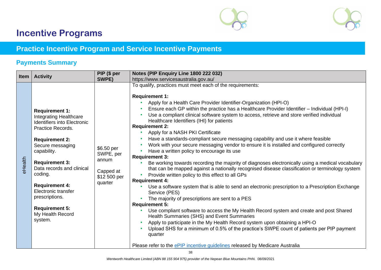



## **Incentive Programs**

## **Practice Incentive Program and Service Incentive Payments**

## **Payments Summary**

<span id="page-37-2"></span><span id="page-37-1"></span><span id="page-37-0"></span>

| <b>Item</b> | <b>Activity</b>                                                                                                                                                                                                                                                                                                                                                                 | PIP (\$ per                                                              | Notes (PIP Enquiry Line 1800 222 032)                                                                                                                                                                                                                                                                                                                                                                                                                                                                                                                                                                                                                                                                                                                                                                                                                                                                                                                                                                                                                                                                                                                                                                                                                                                                                                                                                                                                                                                                                                                                                                                                                                                                    |
|-------------|---------------------------------------------------------------------------------------------------------------------------------------------------------------------------------------------------------------------------------------------------------------------------------------------------------------------------------------------------------------------------------|--------------------------------------------------------------------------|----------------------------------------------------------------------------------------------------------------------------------------------------------------------------------------------------------------------------------------------------------------------------------------------------------------------------------------------------------------------------------------------------------------------------------------------------------------------------------------------------------------------------------------------------------------------------------------------------------------------------------------------------------------------------------------------------------------------------------------------------------------------------------------------------------------------------------------------------------------------------------------------------------------------------------------------------------------------------------------------------------------------------------------------------------------------------------------------------------------------------------------------------------------------------------------------------------------------------------------------------------------------------------------------------------------------------------------------------------------------------------------------------------------------------------------------------------------------------------------------------------------------------------------------------------------------------------------------------------------------------------------------------------------------------------------------------------|
|             |                                                                                                                                                                                                                                                                                                                                                                                 | SWPE)                                                                    | https://www.servicesaustralia.gov.au/                                                                                                                                                                                                                                                                                                                                                                                                                                                                                                                                                                                                                                                                                                                                                                                                                                                                                                                                                                                                                                                                                                                                                                                                                                                                                                                                                                                                                                                                                                                                                                                                                                                                    |
| eHealth     | <b>Requirement 1:</b><br><b>Integrating Healthcare</b><br><b>Identifiers into Electronic</b><br><b>Practice Records.</b><br><b>Requirement 2:</b><br>Secure messaging<br>capability.<br><b>Requirement 3:</b><br>Data records and clinical<br>coding.<br><b>Requirement 4:</b><br>Electronic transfer<br>prescriptions.<br><b>Requirement 5:</b><br>My Health Record<br>system. | \$6.50 per<br>SWPE, per<br>annum<br>Capped at<br>\$12 500 per<br>quarter | To qualify, practices must meet each of the requirements:<br><b>Requirement 1:</b><br>Apply for a Health Care Provider Identifier-Organization (HPI-O)<br>Ensure each GP within the practice has a Healthcare Provider Identifier - Individual (HPI-I)<br>Use a compliant clinical software system to access, retrieve and store verified individual<br>$\bullet$<br>Healthcare Identifiers (IHI) for patients<br><b>Requirement 2:</b><br>Apply for a NASH PKI Certificate<br>$\bullet$<br>Have a standards-compliant secure messaging capability and use it where feasible<br>$\bullet$<br>Work with your secure messaging vendor to ensure it is installed and configured correctly<br>Have a written policy to encourage its use<br>$\bullet$<br><b>Requirement 3:</b><br>Be working towards recording the majority of diagnoses electronically using a medical vocabulary<br>that can be mapped against a nationally recognised disease classification or terminology system<br>Provide written policy to this effect to all GPs<br>$\bullet$<br><b>Requirement 4:</b><br>Use a software system that is able to send an electronic prescription to a Prescription Exchange<br>Service (PES)<br>The majority of prescriptions are sent to a PES<br><b>Requirement 5:</b><br>Use compliant software to access the My Health Record system and create and post Shared<br>Health Summaries (SHS) and Event Summaries<br>Apply to participate in the My Health Record system upon obtaining a HPI-O<br>$\bullet$<br>Upload SHS for a minimum of 0.5% of the practice's SWPE count of patients per PIP payment<br>quarter<br>Please refer to the ePIP incentive guidelines released by Medicare Australia |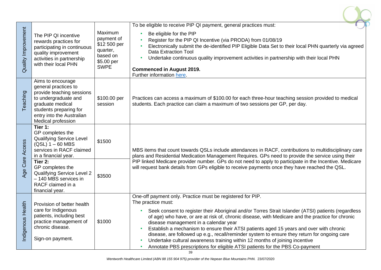| Quality Improvement | The PIP QI incentive<br>rewards practices for<br>participating in continuous<br>quality improvement<br>activities in partnership<br>with their local PHN                                        | Maximum<br>payment of<br>\$12 500 per<br>quarter,<br>based on<br>\$5.00 per<br><b>SWPE</b> | To be eligible to receive PIP QI payment, general practices must:<br>Be eligible for the PIP<br>Register for the PIP QI Incentive (via PRODA) from 01/08/19<br>Electronically submit the de-identified PIP Eligible Data Set to their local PHN quarterly via agreed<br><b>Data Extraction Tool</b><br>Undertake continuous quality improvement activities in partnership with their local PHN<br><b>Commenced in August 2019.</b><br>Further information here.                                                                                                                                                                                                                                |
|---------------------|-------------------------------------------------------------------------------------------------------------------------------------------------------------------------------------------------|--------------------------------------------------------------------------------------------|------------------------------------------------------------------------------------------------------------------------------------------------------------------------------------------------------------------------------------------------------------------------------------------------------------------------------------------------------------------------------------------------------------------------------------------------------------------------------------------------------------------------------------------------------------------------------------------------------------------------------------------------------------------------------------------------|
| Teaching            | Aims to encourage<br>general practices to<br>provide teaching sessions<br>to undergraduate and<br>graduate medical<br>students preparing for<br>entry into the Australian<br>Medical profession | \$100.00 per<br>session                                                                    | Practices can access a maximum of \$100.00 for each three-hour teaching session provided to medical<br>students. Each practice can claim a maximum of two sessions per GP, per day.                                                                                                                                                                                                                                                                                                                                                                                                                                                                                                            |
| Age Care Access     | Tier 1:<br>GP completes the<br><b>Qualifying Service Level</b><br>$(QSL)$ 1 – 60 MBS<br>services in RACF claimed<br>in a financial year.                                                        | \$1500                                                                                     | MBS items that count towards QSLs include attendances in RACF, contributions to multidisciplinary care<br>plans and Residential Medication Management Requires. GPs need to provide the service using their                                                                                                                                                                                                                                                                                                                                                                                                                                                                                    |
|                     | Tier 2:<br>GP completes the<br>Qualifying Service Level 2<br>- 140 MBS services in<br>RACF claimed in a<br>financial year.                                                                      | \$3500                                                                                     | PIP linked Medicare provider number. GPs do not need to apply to participate in the Incentive. Medicare<br>will request bank details from GPs eligible to receive payments once they have reached the QSL.                                                                                                                                                                                                                                                                                                                                                                                                                                                                                     |
| 토<br>Indigenous Hea | Provision of better health<br>care for Indigenous<br>patients, including best<br>practice management of<br>chronic disease.<br>Sign-on payment.                                                 | \$1000                                                                                     | One-off payment only. Practice must be registered for PIP.<br>The practice must:<br>Seek consent to register their Aboriginal and/or Torres Strait Islander (ATSI) patients (regardless<br>of age) who have, or are at risk of, chronic disease, with Medicare and the practice for chronic<br>disease management in a calendar year<br>Establish a mechanism to ensure their ATSI patients aged 15 years and over with chronic<br>disease, are followed up e.g., recall/reminder system to ensure they return for ongoing care<br>Undertake cultural awareness training within 12 months of joining incentive<br>Annotate PBS prescriptions for eligible ATSI patients for the PBS Co-payment |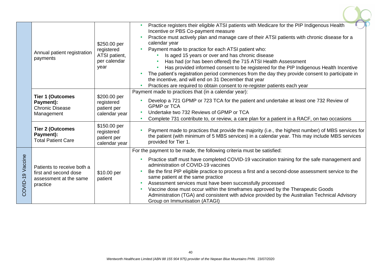|                  | Annual patient registration<br>payments                                                   | \$250.00 per<br>registered<br>ATSI patient,<br>per calendar<br>year | Practice registers their eligible ATSI patients with Medicare for the PIP Indigenous Health<br>$\bullet$<br>Incentive or PBS Co-payment measure<br>Practice must actively plan and manage care of their ATSI patients with chronic disease for a<br>calendar year<br>Payment made to practice for each ATSI patient who:<br>Is aged 15 years or over and has chronic disease<br>Has had (or has been offered) the 715 ATSI Health Assessment<br>Has provided informed consent to be registered for the PIP Indigenous Health Incentive<br>The patient's registration period commences from the day they provide consent to participate in<br>the incentive, and will end on 31 December that year<br>Practices are required to obtain consent to re-register patients each year |
|------------------|-------------------------------------------------------------------------------------------|---------------------------------------------------------------------|---------------------------------------------------------------------------------------------------------------------------------------------------------------------------------------------------------------------------------------------------------------------------------------------------------------------------------------------------------------------------------------------------------------------------------------------------------------------------------------------------------------------------------------------------------------------------------------------------------------------------------------------------------------------------------------------------------------------------------------------------------------------------------|
|                  | <b>Tier 1 (Outcomes</b><br>Payment):<br><b>Chronic Disease</b><br>Management              | \$200.00 per<br>registered<br>patient per<br>calendar year          | Payment made to practices that (in a calendar year):<br>Develop a 721 GPMP or 723 TCA for the patient and undertake at least one 732 Review of<br><b>GPMP or TCA</b><br>Undertake two 732 Reviews of GPMP or TCA<br>Complete 731 contribute to, or review, a care plan for a patient in a RACF, on two occasions<br>$\bullet$                                                                                                                                                                                                                                                                                                                                                                                                                                                   |
|                  | <b>Tier 2 (Outcomes</b><br>Payment):<br><b>Total Patient Care</b>                         | \$150.00 per<br>registered<br>patient per<br>calendar year          | Payment made to practices that provide the majority (i.e., the highest number) of MBS services for<br>the patient (with minimum of 5 MBS services) in a calendar year. This may include MBS services<br>provided for Tier 1.                                                                                                                                                                                                                                                                                                                                                                                                                                                                                                                                                    |
| COVID-19 Vaccine | Patients to receive both a<br>first and second dose<br>assessment at the same<br>practice | \$10.00 per<br>patient                                              | For the payment to be made, the following criteria must be satisfied:<br>Practice staff must have completed COVID-19 vaccination training for the safe management and<br>administration of COVID-19 vaccines<br>Be the first PIP eligible practice to process a first and a second-dose assessment service to the<br>same patient at the same practice<br>Assessment services must have been successfully processed<br>٠<br>Vaccine dose must occur within the timeframes approved by the Therapeutic Goods<br>Administration (TGA) and consistent with advice provided by the Australian Technical Advisory<br>Group on Immunisation (ATAGI)                                                                                                                                   |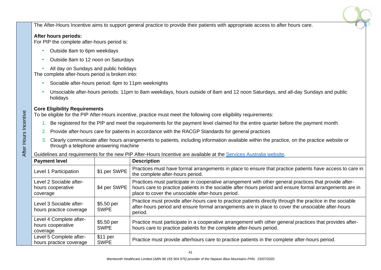The After-Hours Incentive aims to support general practice to provide their patients with appropriate access to after hours care.

#### **After hours periods:**

For PIP the complete after-hours period is:

- Outside 8am to 6pm weekdays
- Outside 8am to 12 noon on Saturdays
- All day on Sundays and public holidays

The complete after-hours period is broken into:

- Sociable after-hours period: 6pm to 11pm weeknights
- Unsociable after-hours periods: 11pm to 8am weekdays, hours outside of 8am and 12 noon Saturdays, and all-day Sundays and public holidays

#### **Core Eligibility Requirements**

After Hours Incentive

After Hours Incentive

To be eligible for the PIP After-Hours incentive, practice must meet the following core eligibility requirements:

- 1. Be registered for the PIP and meet the requirements for the payment level claimed for the entire quarter before the payment month
- 2. Provide after-hours care for patients in accordance with the RACGP Standards for general practices
- 3. Clearly communicate after hours arrangements to patients, including information available within the practice, on the practice website or through a telephone answering machine

Guidelines and requirements for the new PIP After-Hours Incentive are available at the [Services Australia website.](https://www.servicesaustralia.gov.au/organisations/health-professionals/services/medicare/practice-incentives-program/what-are-individual-incentives/after-hours-incentives)

| <b>Payment level</b>                                     |                                    | <b>Description</b>                                                                                                                                                                                                                                                      |
|----------------------------------------------------------|------------------------------------|-------------------------------------------------------------------------------------------------------------------------------------------------------------------------------------------------------------------------------------------------------------------------|
| Level 1 Participation                                    | \$1 per SWPE                       | Practices must have formal arrangements in place to ensure that practice patients have access to care in<br>the complete after-hours period.                                                                                                                            |
| Level 2 Sociable after-<br>hours cooperative<br>coverage | \$4 per SWPE                       | Practices must participate in cooperative arrangement with other general practices that provide after-<br>hours care to practice patients in the sociable after-hours period and ensure formal arrangements are in<br>place to cover the unsociable after-hours period. |
| Level 3 Sociable after-<br>hours practice coverage       | \$5.50 per<br><b>SWPE</b>          | Practice must provide after-hours care to practice patients directly through the practice in the sociable<br>after-hours period and ensure formal arrangements are in place to cover the unsociable after-hours<br>period.                                              |
| Level 4 Complete after-<br>hours cooperative<br>coverage | \$5.50 per<br><b>SWPE</b>          | Practice must participate in a cooperative arrangement with other general practices that provides after-<br>hours care to practice patients for the complete after-hours period.                                                                                        |
| Level 5 Complete after-<br>hours practice coverage       | \$11 <sub>per</sub><br><b>SWPE</b> | Practice must provide afterhours care to practice patients in the complete after-hours period.                                                                                                                                                                          |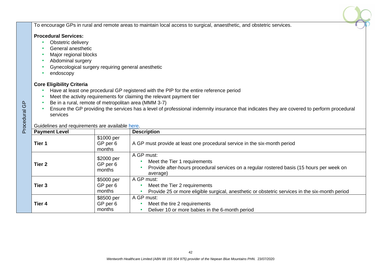To encourage GPs in rural and remote areas to maintain local access to surgical, anaesthetic, and obstetric services.

#### **Procedural Services:**

- Obstetric delivery
- General anesthetic
- Major regional blocks
- Abdominal surgery
- Gynecological surgery requiring general anesthetic
- endoscopy

#### **Core Eligibility Criteria**

- Have at least one procedural GP registered with the PIP for the entire reference period
- Meet the activity requirements for claiming the relevant payment tier
- Be in a rural, remote of metropolitan area (MMM 3-7)
- Ensure the GP providing the services has a level of professional indemnity insurance that indicates they are covered to perform procedural services

| GP<br>Procedural                           | Be in a rural, remote of metropolitan area (MMM 3-7)<br>Ensure the GP providing the services has a level of professional indemnity insurance that indicates they are covered to perform procedural<br>services |                                  |                                                                                                                                                     |  |  |  |  |  |
|--------------------------------------------|----------------------------------------------------------------------------------------------------------------------------------------------------------------------------------------------------------------|----------------------------------|-----------------------------------------------------------------------------------------------------------------------------------------------------|--|--|--|--|--|
|                                            | Guidelines and requirements are available here.                                                                                                                                                                |                                  |                                                                                                                                                     |  |  |  |  |  |
|                                            | <b>Payment Level</b>                                                                                                                                                                                           |                                  | <b>Description</b>                                                                                                                                  |  |  |  |  |  |
|                                            | Tier 1                                                                                                                                                                                                         | \$1000 per<br>GP per 6<br>months | A GP must provide at least one procedural service in the six-month period                                                                           |  |  |  |  |  |
|                                            | Tier <sub>2</sub>                                                                                                                                                                                              | \$2000 per<br>GP per 6<br>months | A GP must:<br>Meet the Tier 1 requirements<br>Provide after-hours procedural services on a regular rostered basis (15 hours per week on<br>average) |  |  |  |  |  |
| \$5000 per<br>GP per 6<br>Tier 3<br>months |                                                                                                                                                                                                                |                                  | A GP must:<br>Meet the Tier 2 requirements<br>Provide 25 or more eligible surgical, anesthetic or obstetric services in the six-month period        |  |  |  |  |  |
|                                            | Tier 4                                                                                                                                                                                                         | \$8500 per<br>GP per 6<br>months | A GP must:<br>Meet the tire 2 requirements<br>Deliver 10 or more babies in the 6-month period                                                       |  |  |  |  |  |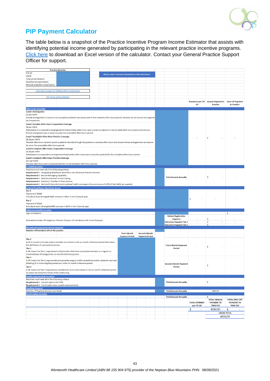

## <span id="page-42-0"></span>**PIP Payment Calculator**

The table below is a snapshot of the Practice Incentive Program Income Estimator that assists with identifying potential income generated by participating in the relevant practice incentive programs. [Click here](file://///NBMML-FSCDATA/FSCDATA/DATA/FOLDERS/Programs/PRACTICE%20SUPPORT/1.PRACTICE%20SUPPORT%20RESOURCES/MBS/PIP%20Payment%20Calculator.xlsx) to download an Excel version of the calculator. Contact your General Practice Support Officer for support.

|                                                                           | <b>Practice Situation</b>                                                                                                                       |  |  |  |                                                     |                       |  |                       |                                |                      |                                          |                                            |
|---------------------------------------------------------------------------|-------------------------------------------------------------------------------------------------------------------------------------------------|--|--|--|-----------------------------------------------------|-----------------------|--|-----------------------|--------------------------------|----------------------|------------------------------------------|--------------------------------------------|
| <b>FTE GP</b>                                                             |                                                                                                                                                 |  |  |  |                                                     |                       |  |                       |                                |                      |                                          |                                            |
| <b>SWPE</b>                                                               |                                                                                                                                                 |  |  |  | Please enter relevant information in the blue boxes |                       |  |                       |                                |                      |                                          |                                            |
| <b>Total active Patients</b>                                              |                                                                                                                                                 |  |  |  |                                                     |                       |  |                       |                                |                      |                                          |                                            |
| <b>Modified Monash Model</b>                                              |                                                                                                                                                 |  |  |  |                                                     |                       |  |                       |                                |                      |                                          |                                            |
| Remote Area (RA) Classification                                           |                                                                                                                                                 |  |  |  |                                                     |                       |  |                       |                                |                      |                                          |                                            |
|                                                                           |                                                                                                                                                 |  |  |  |                                                     |                       |  |                       |                                |                      |                                          |                                            |
|                                                                           | Click here to seach for MMM and RA classification                                                                                               |  |  |  |                                                     |                       |  |                       |                                |                      |                                          |                                            |
|                                                                           |                                                                                                                                                 |  |  |  |                                                     |                       |  |                       |                                |                      |                                          |                                            |
|                                                                           | <b>PIP Forms and Guidelines</b>                                                                                                                 |  |  |  |                                                     |                       |  |                       |                                |                      |                                          |                                            |
|                                                                           |                                                                                                                                                 |  |  |  |                                                     |                       |  |                       |                                |                      | Payments per FTE Annual Payment to       | <b>Once off Payment</b>                    |
|                                                                           |                                                                                                                                                 |  |  |  |                                                     |                       |  |                       |                                | <b>GP</b>            | <b>Practice</b>                          | to Practice                                |
| <b>After Hours Incentive</b>                                              |                                                                                                                                                 |  |  |  |                                                     |                       |  |                       |                                |                      |                                          |                                            |
| <b>Level 1 Participation</b>                                              |                                                                                                                                                 |  |  |  |                                                     |                       |  |                       |                                |                      |                                          |                                            |
| \$1 per SWPE                                                              |                                                                                                                                                 |  |  |  |                                                     |                       |  |                       |                                |                      |                                          |                                            |
|                                                                           | Formal arrangements in place to ensure pratcie patients can access care in the complete after hours period. Services do not have to be supplied |  |  |  |                                                     |                       |  |                       |                                |                      |                                          |                                            |
| by the practice.                                                          |                                                                                                                                                 |  |  |  |                                                     |                       |  |                       |                                |                      |                                          |                                            |
| Level 2 Sociable After Hours Cooperative Coverage                         |                                                                                                                                                 |  |  |  |                                                     |                       |  |                       |                                |                      |                                          |                                            |
| \$4 per SWPE                                                              |                                                                                                                                                 |  |  |  |                                                     |                       |  |                       |                                |                      |                                          |                                            |
|                                                                           | Participate in a cooperative assangements that provides after hours care to practice patients in the sociable after hours period and ensure     |  |  |  |                                                     |                       |  |                       |                                |                      |                                          |                                            |
|                                                                           | formal arrangments are in place to cover the unsociable after hours period.                                                                     |  |  |  |                                                     |                       |  |                       |                                |                      |                                          |                                            |
| Level 3 Socialable After Hours Practice Coverage                          |                                                                                                                                                 |  |  |  |                                                     |                       |  |                       |                                |                      | Ś                                        |                                            |
| \$5.50 per SWPE                                                           |                                                                                                                                                 |  |  |  |                                                     |                       |  |                       |                                |                      |                                          |                                            |
|                                                                           | Provide after hours cause to practice patients directly through the practice in sociable after hours and ensure formal arrangements are inplace |  |  |  |                                                     |                       |  |                       |                                |                      |                                          |                                            |
| to cover the unsociable after hours period.                               |                                                                                                                                                 |  |  |  |                                                     |                       |  |                       |                                |                      |                                          |                                            |
| Level 4 Complete After Hours Cooperative Coverage                         |                                                                                                                                                 |  |  |  |                                                     |                       |  |                       |                                |                      |                                          |                                            |
| \$5.50 per SWPE                                                           |                                                                                                                                                 |  |  |  |                                                     |                       |  |                       |                                |                      |                                          |                                            |
|                                                                           | Participate in a cooperative arrangement thatprovides after hours care to practice patients for the complete after hours period.                |  |  |  |                                                     |                       |  |                       |                                |                      |                                          |                                            |
| Level 5 Complete After Hours Practice Coverage                            |                                                                                                                                                 |  |  |  |                                                     |                       |  |                       |                                |                      |                                          |                                            |
| \$11 per SWPE                                                             |                                                                                                                                                 |  |  |  |                                                     |                       |  |                       |                                |                      |                                          |                                            |
|                                                                           | Provide after hours care to practice patients in the complete after hours period.                                                               |  |  |  |                                                     |                       |  |                       |                                |                      |                                          |                                            |
| e-Health Incentive                                                        |                                                                                                                                                 |  |  |  |                                                     |                       |  |                       |                                |                      |                                          |                                            |
| Practices must meet all of the following criteria:                        |                                                                                                                                                 |  |  |  |                                                     |                       |  |                       |                                |                      |                                          |                                            |
|                                                                           | Requirement 1 - Integrating Healthcare Identifiers into Electronic Practice Records                                                             |  |  |  |                                                     |                       |  |                       |                                |                      |                                          |                                            |
| <b>Requirement 2 - Secure Messaging Capability</b>                        |                                                                                                                                                 |  |  |  |                                                     |                       |  |                       | <b>Total Amount Annually</b>   |                      | Ŝ                                        |                                            |
| Requirement 3 - Data Records and Clinical Coding                          |                                                                                                                                                 |  |  |  |                                                     |                       |  |                       |                                |                      |                                          |                                            |
| Requirement 4 - Electronic Transfer of Prescriptions                      |                                                                                                                                                 |  |  |  |                                                     |                       |  |                       |                                |                      |                                          |                                            |
|                                                                           | Requirement 5 - My Health Records System (upload health summaiers for a minimum of 0.5% of the SWPE per quarter)                                |  |  |  |                                                     |                       |  |                       |                                |                      |                                          |                                            |
| <b>General Practitioner Aged Care Access</b>                              |                                                                                                                                                 |  |  |  |                                                     |                       |  |                       |                                |                      |                                          |                                            |
| Tier 1                                                                    |                                                                                                                                                 |  |  |  |                                                     |                       |  |                       |                                |                      |                                          |                                            |
| Payment of \$1500                                                         |                                                                                                                                                 |  |  |  |                                                     |                       |  |                       |                                |                      |                                          |                                            |
|                                                                           | Provide at least 60 eligible MBS services in RACF in this financial year                                                                        |  |  |  |                                                     |                       |  |                       |                                |                      |                                          |                                            |
| Tier 2                                                                    |                                                                                                                                                 |  |  |  |                                                     |                       |  |                       |                                | Ŝ                    |                                          |                                            |
| Payment of \$3500                                                         |                                                                                                                                                 |  |  |  |                                                     |                       |  |                       |                                |                      |                                          |                                            |
| Provide at least 140 eligible MBS services in RACF in this financial year |                                                                                                                                                 |  |  |  |                                                     |                       |  |                       |                                |                      |                                          |                                            |
| <b>Indigenous Health Incentive</b>                                        |                                                                                                                                                 |  |  |  |                                                     |                       |  |                       |                                |                      |                                          |                                            |
| <b>Sign-on Payment</b>                                                    |                                                                                                                                                 |  |  |  |                                                     |                       |  |                       |                                |                      |                                          | \$                                         |
|                                                                           |                                                                                                                                                 |  |  |  |                                                     |                       |  |                       | <b>Patient Registration</b>    |                      |                                          |                                            |
|                                                                           |                                                                                                                                                 |  |  |  |                                                     |                       |  |                       | <b>Payment</b>                 |                      | \$                                       |                                            |
|                                                                           | Estimated number of Indigenous Patients 15 years olf and above with Cronic Diseases                                                             |  |  |  |                                                     |                       |  |                       | <b>Outcomes Payment Tier 1</b> |                      | \$                                       |                                            |
|                                                                           |                                                                                                                                                 |  |  |  |                                                     |                       |  |                       | <b>Outcomes Payment Tier 2</b> |                      | Ŝ                                        |                                            |
| <b>Procedural General Practitioner Payment</b>                            |                                                                                                                                                 |  |  |  |                                                     |                       |  |                       |                                |                      |                                          |                                            |
| Number of Procedural GPs in the practice                                  |                                                                                                                                                 |  |  |  |                                                     |                       |  |                       |                                |                      |                                          |                                            |
|                                                                           |                                                                                                                                                 |  |  |  |                                                     | <b>First 6 Month</b>  |  | <b>Second 6 Month</b> |                                |                      |                                          |                                            |
|                                                                           |                                                                                                                                                 |  |  |  |                                                     | <b>Payment Period</b> |  | <b>Payment Period</b> |                                |                      |                                          |                                            |
| Tier 1                                                                    |                                                                                                                                                 |  |  |  |                                                     |                       |  |                       |                                |                      |                                          |                                            |
|                                                                           | A GP in a rural or remote pratcie provides any service in the six month reference period that meets                                             |  |  |  |                                                     |                       |  |                       |                                |                      |                                          |                                            |
| the definition of a procedural service.                                   |                                                                                                                                                 |  |  |  |                                                     |                       |  |                       | <b>First 6 Months Payment</b>  |                      | Ŝ                                        |                                            |
| <b>Tier 2</b>                                                             |                                                                                                                                                 |  |  |  |                                                     |                       |  |                       | <b>Period</b>                  |                      |                                          |                                            |
|                                                                           | A GP meets the Tier 1 requirement and provides after hours procedural services on a regular or                                                  |  |  |  |                                                     |                       |  |                       |                                |                      |                                          |                                            |
| rostered bases throuhgout the six month reference period.                 |                                                                                                                                                 |  |  |  |                                                     |                       |  |                       |                                |                      |                                          |                                            |
| Tier 3                                                                    |                                                                                                                                                 |  |  |  |                                                     |                       |  |                       |                                |                      |                                          |                                            |
|                                                                           | A GP meets the Tier 2 requiremets and provides surgical and/or anaeshetic and/or obstertric services                                            |  |  |  |                                                     |                       |  |                       |                                |                      |                                          |                                            |
|                                                                           | totalling 25 or more eligible procedures in the six month reference period.                                                                     |  |  |  |                                                     |                       |  |                       | <b>Second 6 Month Payment</b>  |                      | s                                        |                                            |
| <b>Tier 4</b>                                                             |                                                                                                                                                 |  |  |  |                                                     |                       |  |                       | <b>Period</b>                  |                      |                                          |                                            |
|                                                                           | A GP meets the Tier 3 requiremens and delivers 10 or more babies in the six month reference period                                              |  |  |  |                                                     |                       |  |                       |                                |                      |                                          |                                            |
| or meets the obstertric needs of the community                            |                                                                                                                                                 |  |  |  |                                                     |                       |  |                       |                                |                      |                                          |                                            |
| <b>Quality Improvement Incentive</b>                                      |                                                                                                                                                 |  |  |  |                                                     |                       |  |                       |                                |                      |                                          |                                            |
| Practices must meet all of the following criteria:                        |                                                                                                                                                 |  |  |  |                                                     |                       |  |                       |                                |                      |                                          |                                            |
| Requirement 1 - Submits data to the PHN                                   |                                                                                                                                                 |  |  |  |                                                     |                       |  |                       | <b>Total Amount Annually</b>   |                      | \$                                       |                                            |
| Requirement 2 - Continually makes quality improvements                    |                                                                                                                                                 |  |  |  |                                                     |                       |  |                       |                                |                      |                                          |                                            |
| <b>Teaching Payment</b>                                                   |                                                                                                                                                 |  |  |  |                                                     |                       |  |                       |                                |                      |                                          |                                            |
| Number of Teaching Sessions per Week                                      |                                                                                                                                                 |  |  |  |                                                     |                       |  |                       | <b>Total Amount Annually</b>   | $\omega$             | #DIV/0!                                  | $\tilde{\phantom{a}}$                      |
| <b>Rural Loading Incentive</b>                                            |                                                                                                                                                 |  |  |  |                                                     |                       |  |                       |                                |                      |                                          |                                            |
|                                                                           |                                                                                                                                                 |  |  |  |                                                     |                       |  |                       | <b>Total Amount Annually</b>   | ä,                   | Ŝ                                        |                                            |
|                                                                           |                                                                                                                                                 |  |  |  |                                                     |                       |  |                       |                                | <b>TOTAL PAYMENT</b> | <b>TOTAL ANNUAL</b><br><b>PAYMENT TO</b> | <b>TOTAL ONCE OFF</b><br><b>PAYMENT TO</b> |
|                                                                           |                                                                                                                                                 |  |  |  |                                                     |                       |  |                       |                                | per FTE GP           | <b>PRACTCIE</b>                          | <b>PRACTICE</b>                            |
|                                                                           |                                                                                                                                                 |  |  |  |                                                     |                       |  |                       |                                |                      |                                          |                                            |
|                                                                           |                                                                                                                                                 |  |  |  |                                                     |                       |  |                       |                                | \$                   | #DIV/0!                                  | \$                                         |
|                                                                           |                                                                                                                                                 |  |  |  |                                                     |                       |  |                       |                                |                      | <b>GRAND TOTAL</b>                       |                                            |
|                                                                           |                                                                                                                                                 |  |  |  |                                                     |                       |  |                       |                                |                      | #DIV/0!                                  |                                            |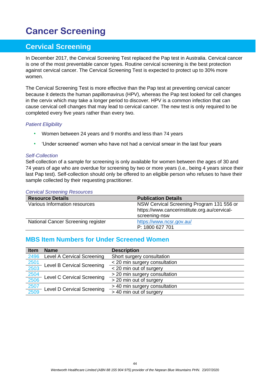## <span id="page-43-0"></span>**Cancer Screening**

## <span id="page-43-1"></span>**Cervical Screening**

In December 2017, the Cervical Screening Test replaced the Pap test in Australia. Cervical cancer is one of the most preventable cancer types. Routine cervical screening is the best protection against cervical cancer. The Cervical Screening Test is expected to protect up to 30% more women.

The Cervical Screening Test is more effective than the Pap test at preventing cervical cancer because it detects the human papillomavirus (HPV), whereas the Pap test looked for cell changes in the cervix which may take a longer period to discover. HPV is a common infection that can cause cervical cell changes that may lead to cervical cancer. The new test is only required to be completed every five years rather than every two.

#### *Patient Eligibility*

- Women between 24 years and 9 months and less than 74 years
- 'Under screened' women who have not had a cervical smear in the last four years

#### *Self-Collection*

Self-collection of a sample for screening is only available for women between the ages of 30 and 74 years of age who are overdue for screening by two or more years (i.e., being 4 years since their last Pap test). Self-collection should only be offered to an eligible person who refuses to have their sample collected by their requesting practitioner.

#### *Cervical Screening Resources*

| <b>Resource Details</b>            | <b>Publication Details</b>                   |  |  |  |
|------------------------------------|----------------------------------------------|--|--|--|
| Various Information resources      | NSW Cervical Screening Program 131 556 or    |  |  |  |
|                                    | https://www.cancerinstitute.org.au/cervical- |  |  |  |
|                                    | screening-nsw                                |  |  |  |
| National Cancer Screening register | https://www.ncsr.gov.au/                     |  |  |  |
|                                    | P: 1800 627 701                              |  |  |  |

### <span id="page-43-2"></span>**MBS Item Numbers for Under Screened Women**

| <b>Item</b>         | <b>Name</b>                                              | <b>Description</b>            |
|---------------------|----------------------------------------------------------|-------------------------------|
| 2496                | <b>Level A Cervical Screening</b>                        | Short surgery consultation    |
|                     | $\frac{2501}{2503}$<br><b>Level B Cervical Screening</b> | < 20 min surgery consultation |
|                     |                                                          | < 20 min out of surgery       |
| 2504<br>2506        | <b>Level C Cervical Screening</b>                        | > 20 min surgery consultation |
|                     |                                                          | > 20 min out of surgery       |
| $\frac{2507}{2509}$ |                                                          | > 40 min surgery consultation |
|                     | Level D Cervical Screening                               | > 40 min out of surgery       |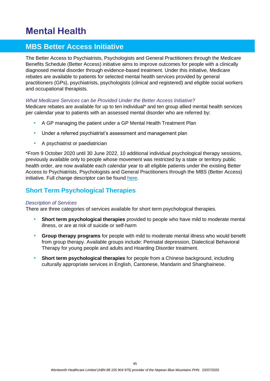## <span id="page-44-0"></span>**Mental Health**

## <span id="page-44-1"></span>**MBS Better Access Initiative**

The Better Access to Psychiatrists, Psychologists and General Practitioners through the Medicare Benefits Schedule (Better Access) initiative aims to improve outcomes for people with a clinically diagnosed mental disorder through evidence-based treatment. Under this initiative, Medicare rebates are available to patients for selected mental health services provided by general practitioners (GPs), psychiatrists, psychologists (clinical and registered) and eligible social workers and occupational therapists.

#### *What Medicare Services can be Provided Under the Better Access Initiative?*

Medicare rebates are available for up to ten individual\* and ten group allied mental health services per calendar year to patients with an assessed mental disorder who are referred by:

- A GP managing the patient under a GP Mental Health Treatment Plan
- Under a referred psychiatrist's assessment and management plan
- A psychiatrist or paediatrician

\*From 9 October 2020 until 30 June 2022, 10 additional individual psychological therapy sessions, previously available only to people whose movement was restricted by a state or territory public health order, are now available each calendar year to all eligible patients under the existing Better Access to Psychiatrists, Psychologists and General Practitioners through the MBS (Better Access) initiative. Full change descriptor can be found [here.](http://www.mbsonline.gov.au/internet/mbsonline/publishing.nsf/Content/240DC3AF97EEAF79CA2585BC00827909/$File/Factsheet-Practitioners-Mental-Health-Services-COVID-19.pdf)

### <span id="page-44-2"></span>**Short Term Psychological Therapies**

#### *Description of Services*

There are three categories of services available for short term psychological therapies.

- **Short term psychological therapies** provided to people who have mild to moderate mental illness, or are at risk of suicide or self-harm
- **Group therapy programs** for people with mild to moderate mental illness who would benefit from group therapy. Available groups include: Perinatal depression, Dialectical Behavioral Therapy for young people and adults and Hoarding Disorder treatment.
- **Short term psychological therapies** for people from a Chinese background, including culturally appropriate services in English, Cantonese, Mandarin and Shanghainese.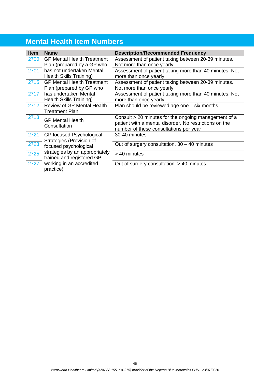## <span id="page-45-0"></span>**Mental Health Item Numbers**

| <b>Item</b> | <b>Name</b>                       | <b>Description/Recommended Frequency</b>               |
|-------------|-----------------------------------|--------------------------------------------------------|
| 2700        | <b>GP Mental Health Treatment</b> | Assessment of patient taking between 20-39 minutes.    |
|             | Plan (prepared by a GP who        | Not more than once yearly                              |
| 2701        | has not undertaken Mental         | Assessment of patient taking more than 40 minutes. Not |
|             | Health Skills Training)           | more than once yearly                                  |
| 2715        | <b>GP Mental Health Treatment</b> | Assessment of patient taking between 20-39 minutes.    |
|             | Plan (prepared by GP who          | Not more than once yearly                              |
| 2717        | has undertaken Mental             | Assessment of patient taking more than 40 minutes. Not |
|             | <b>Health Skills Training)</b>    | more than once yearly                                  |
| 2712        | <b>Review of GP Mental Health</b> | Plan should be reviewed age one - six months           |
|             | <b>Treatment Plan</b>             |                                                        |
| 2713        | <b>GP Mental Health</b>           | Consult > 20 minutes for the ongoing management of a   |
|             | Consultation                      | patient with a mental disorder. No restrictions on the |
|             |                                   | number of these consultations per year                 |
| 2721        | GP focused Psychological          | 30-40 minutes                                          |
| 2723        | Strategies (Provision of          |                                                        |
|             | focused psychological             | Out of surgery consultation. $30 - 40$ minutes         |
| 2725        | strategies by an appropriately    | > 40 minutes                                           |
|             | trained and registered GP         |                                                        |
| 2727        | working in an accredited          | Out of surgery consultation. > 40 minutes              |
|             | practice)                         |                                                        |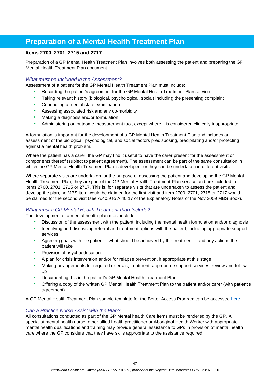## <span id="page-46-0"></span>**Preparation of a Mental Health Treatment Plan**

#### **Items 2700, 2701, 2715 and 2717**

Preparation of a GP Mental Health Treatment Plan involves both assessing the patient and preparing the GP Mental Health Treatment Plan document.

#### *What must be Included in the Assessment?*

Assessment of a patient for the GP Mental Health Treatment Plan must include:

- Recording the patient's agreement for the GP Mental Health Treatment Plan service
- Taking relevant history (biological, psychological, social) including the presenting complaint
- Conducting a mental state examination
- Assessing associated risk and any co-morbidity
- Making a diagnosis and/or formulation
- Administering an outcome measurement tool, except where it is considered clinically inappropriate

A formulation is important for the development of a GP Mental Health Treatment Plan and includes an assessment of the biological, psychological, and social factors predisposing, precipitating and/or protecting against a mental health problem.

Where the patient has a carer, the GP may find it useful to have the carer present for the assessment or components thereof (subject to patient agreement). The assessment can be part of the same consultation in which the GP Mental Health Treatment Plan is developed, or they can be undertaken in different visits.

Where separate visits are undertaken for the purpose of assessing the patient and developing the GP Mental Health Treatment Plan, they are part of the GP Mental Health Treatment Plan service and are included in items 2700, 2701. 2715 or 2717. This is, for separate visits that are undertaken to assess the patient and develop the plan, no MBS item would be claimed for the first visit and item 2700, 2701, 2715 or 2717 would be claimed for the second visit (see A.40.9 to A.40.17 of the Explanatory Notes of the Nov 2009 MBS Book).

#### *What must a GP Mental Health Treatment Plan Include?*

The development of a mental health plan must include:

- Discussion of the assessment with the patient, including the mental health formulation and/or diagnosis
- Identifying and discussing referral and treatment options with the patient, including appropriate support services
- Agreeing goals with the patient what should be achieved by the treatment and any actions the patient will take
- Provision of psychoeducation
- A plan for crisis intervention and/or for relapse prevention, if appropriate at this stage
- Making arrangements for required referrals, treatment, appropriate support services, review and follow up
- Documenting this in the patient's GP Mental Health Treatment Plan
- Offering a copy of the written GP Mental Health Treatment Plan to the patient and/or carer (with patient's agreement)

A GP Mental Health Treatment Plan sample template for the Better Access Program can be accessed [here.](https://www.health.gov.au/initiatives-and-programs/better-access-initiative?utm_source=health.gov.au&utm_medium=callout-auto-custom&utm_campaign=digital_transformation)

#### *Can a Practice Nurse Assist with the Plan?*

All consultations conducted as part of the GP Mental health Care items must be rendered by the GP. A specialist mental health nurse, other allied health practitioner or Aboriginal Health Worker with appropriate mental health qualifications and training may provide general assistance to GPs in provision of mental health care where the GP considers that they have skills appropriate to the assistance required.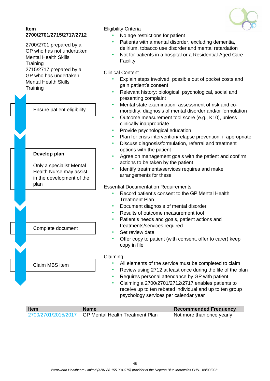

#### **Item 2700/2701/2715/2717/2712**

2700/2701 prepared by a GP who has not undertaken Mental Health Skills **Training** 2715/2717 prepared by a GP who has undertaken Mental Health Skills **Training** 

Claim MBS item Ensure patient eligibility **Develop plan** Only a specialist Mental Health Nurse may assist in the development of the plan Complete document

### Eligibility Criteria

- No age restrictions for patient
- Patients with a mental disorder, excluding dementia, delirium, tobacco use disorder and mental retardation
- Not for patients in a hospital or a Residential Aged Care Facility

#### Clinical Content

- Explain steps involved, possible out of pocket costs and gain patient's consent
- Relevant history: biological, psychological, social and presenting complaint
- Mental state examination, assessment of risk and comorbidity, diagnosis of mental disorder and/or formulation
- Outcome measurement tool score (e.g., K10), unless clinically inappropriate
- Provide psychological education
- Plan for crisis intervention/relapse prevention, if appropriate
- Discuss diagnosis/formulation, referral and treatment options with the patient
- Agree on management goals with the patient and confirm actions to be taken by the patient
- Identify treatments/services requires and make arrangements for these

#### Essential Documentation Requirements

- Record patient's consent to the GP Mental Health Treatment Plan
- Document diagnosis of mental disorder
- Results of outcome measurement tool
- Patient's needs and goals, patient actions and treatments/services required
- Set review date
- Offer copy to patient (with consent, offer to carer) keep copy in file

#### Claiming

- All elements of the service must be completed to claim
- Review using 2712 at least once during the life of the plan
- Requires personal attendance by GP with patient
- Claiming a 2700/2701/2712/2717 enables patients to receive up to ten rebated individual and up to ten group psychology services per calendar year

| <b>Item</b>         | <b>Name</b>                            | <b>Recommended Frequency</b> |  |
|---------------------|----------------------------------------|------------------------------|--|
| 2700/2701/2015/2017 | <b>GP Mental Health Treatment Plan</b> | Not more than once yearly    |  |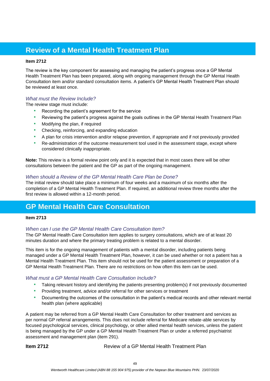## <span id="page-48-0"></span>**Review of a Mental Health Treatment Plan**

#### **Item 2712**

The review is the key component for assessing and managing the patient's progress once a GP Mental Health Treatment Plan has been prepared, along with ongoing management through the GP Mental Health Consultation item and/or standard consultation items. A patient's GP Mental Health Treatment Plan should be reviewed at least once.

#### *What must the Review Include?*

The review stage must include:

- Recording the patient's agreement for the service
- Reviewing the patient's progress against the goals outlines in the GP Mental Health Treatment Plan
- Modifying the plan, if required
- Checking, reinforcing, and expanding education
- A plan for crisis intervention and/or relapse prevention, if appropriate and if not previously provided
- Re-administration of the outcome measurement tool used in the assessment stage, except where considered clinically inappropriate.

**Note:** This review is a formal review point only and it is expected that in most cases there will be other consultations between the patient and the GP as part of the ongoing management.

#### *When should a Review of the GP Mental Health Care Plan be Done?*

The initial review should take place a minimum of four weeks and a maximum of six months after the completion of a GP Mental Health Treatment Plan. If required, an additional review three months after the first review is allowed within a 12-month period.

## <span id="page-48-1"></span>**GP Mental Health Care Consultation**

#### **Item 2713**

#### *When can I use the GP Mental Health Care Consultation Item?*

The GP Mental Health Care Consultation item applies to surgery consultations, which are of at least 20 minutes duration and where the primary treating problem is related to a mental disorder.

This item is for the ongoing management of patients with a mental disorder, including patients being managed under a GP Mental Health Treatment Plan, however, it can be used whether or not a patient has a Mental Health Treatment Plan. This item should not be used for the patient assessment or preparation of a GP Mental Health Treatment Plan. There are no restrictions on how often this item can be used.

#### *What must a GP Mental Health Care Consultation Include?*

- Taking relevant history and identifying the patients presenting problem(s) if not previously documented
- Providing treatment, advice and/or referral for other services or treatment
- Documenting the outcomes of the consultation in the patient's medical records and other relevant mental health plan (where applicable)

A patient may be referred from a GP Mental Health Care Consultation for other treatment and services as per normal GP referral arrangements. This does not include referral for Medicare rebate-able services by focused psychological services, clinical psychology, or other allied mental health services, unless the patient is being managed by the GP under a GP Mental Health Treatment Plan or under a referred psychiatrist assessment and management plan (item 291).

**Item 2712 Review of a GP Mental Health Treatment Plan**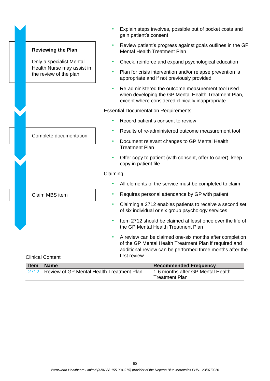|                                                      |          | Explain st<br>gain patie                            |
|------------------------------------------------------|----------|-----------------------------------------------------|
| <b>Reviewing the Plan</b>                            |          | Review pa<br>Mental He                              |
| Only a specialist Mental                             |          | Check, re                                           |
| Health Nurse may assist in<br>the review of the plan |          | Plan for c<br>appropria                             |
|                                                      |          | Re-admin<br>when dev<br>except wh                   |
|                                                      |          | <b>Essential Docum</b>                              |
|                                                      |          | Record pa                                           |
|                                                      |          | Results o                                           |
| Complete documentation                               |          | Documen<br>Treatmen                                 |
|                                                      |          | Offer cop<br>copy in pa                             |
|                                                      | Claiming |                                                     |
|                                                      |          | All elemer                                          |
| Claim MBS item                                       |          | Requires                                            |
|                                                      |          | Claiming<br>of six indi                             |
|                                                      |          | Item 2712<br>the GP M                               |
| <b>Clinical Content</b>                              |          | A review<br>of the GP<br>additional<br>first review |

- teps involves, possible out of pocket costs and ent's consent
- atient's progress against goals outlines in the GP ealth Treatment Plan
- inforce and expand psychological education
- risis intervention and/or relapse prevention is ate and if not previously provided
- histered the outcome measurement tool used eloping the GP Mental Health Treatment Plan, here considered clinically inappropriate

entation Requirements

- atient's consent to review
- f re-administered outcome measurement tool
- at relevant changes to GP Mental Health nt Plan
- y to patient (with consent, offer to carer), keep atient file
- nts of the service must be completed to claim
- personal attendance by GP with patient
- a 2712 enables patients to receive a second set ividual or six group psychology services
- 2 should be claimed at least once over the life of ental Health Treatment Plan
- can be claimed one-six months after completion Mental Health Treatment Plan if required and review can be performed three months after the  $\mathsf{w}$

| <b>Item</b> | <b>Name</b>                               | <b>Recommended Frequency</b>      |
|-------------|-------------------------------------------|-----------------------------------|
|             | Review of GP Mental Health Treatment Plan | 1-6 months after GP Mental Health |
|             |                                           | <b>Treatment Plan</b>             |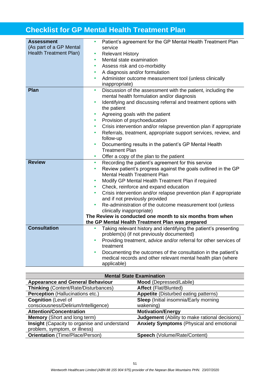## <span id="page-50-0"></span>**Checklist for GP Mental Health Treatment Plan**

| <b>Assessment</b>                                        | Patient's agreement for the GP Mental Health Treatment Plan                                                                 |
|----------------------------------------------------------|-----------------------------------------------------------------------------------------------------------------------------|
| (As part of a GP Mental<br><b>Health Treatment Plan)</b> | service                                                                                                                     |
|                                                          | <b>Relevant History</b>                                                                                                     |
|                                                          | Mental state examination<br>$\bullet$                                                                                       |
|                                                          | Assess risk and co-morbidity<br>$\bullet$                                                                                   |
|                                                          | A diagnosis and/or formulation<br>$\bullet$                                                                                 |
|                                                          | Administer outcome measurement tool (unless clinically<br>$\bullet$<br>inappropriate)                                       |
| Plan                                                     | Discussion of the assessment with the patient, including the<br>$\bullet$                                                   |
|                                                          | mental health formulation and/or diagnosis                                                                                  |
|                                                          | Identifying and discussing referral and treatment options with<br>$\bullet$                                                 |
|                                                          | the patient                                                                                                                 |
|                                                          | Agreeing goals with the patient<br>$\bullet$                                                                                |
|                                                          | Provision of psychoeducation<br>$\bullet$                                                                                   |
|                                                          | Crisis intervention and/or relapse prevention plan if appropriate<br>$\bullet$                                              |
|                                                          | Referrals, treatment, appropriate support services, review, and                                                             |
|                                                          | follow-up                                                                                                                   |
|                                                          | Documenting results in the patient's GP Mental Health<br>٠                                                                  |
|                                                          | <b>Treatment Plan</b>                                                                                                       |
|                                                          | Offer a copy of the plan to the patient<br>٠                                                                                |
| <b>Review</b>                                            | Recording the patient's agreement for this service<br>٠                                                                     |
|                                                          | Review patient's progress against the goals outlined in the GP<br>$\bullet$                                                 |
|                                                          | Mental Health Treatment Plan                                                                                                |
|                                                          | Modify GP Mental Health Treatment Plan if required                                                                          |
|                                                          | Check, reinforce and expand education                                                                                       |
|                                                          | Crisis intervention and/or relapse prevention plan if appropriate                                                           |
|                                                          | and if not previously provided                                                                                              |
|                                                          | Re-administration of the outcome measurement tool (unless                                                                   |
|                                                          | clinically inappropriate)                                                                                                   |
|                                                          | The Review is conducted one month to six months from when                                                                   |
| <b>Consultation</b>                                      | the GP Mental Health Treatment Plan was prepared                                                                            |
|                                                          | Taking relevant history and identifying the patient's presenting                                                            |
|                                                          | problem(s) (if not previously documented)<br>Providing treatment, advice and/or referral for other services of<br>$\bullet$ |
|                                                          | treatment                                                                                                                   |
|                                                          | Documenting the outcomes of the consultation in the patient's<br>$\bullet$                                                  |
|                                                          | medical records and other relevant mental health plan (where                                                                |
|                                                          | applicable)                                                                                                                 |

| <b>Mental State Examination</b>              |                                                       |  |  |
|----------------------------------------------|-------------------------------------------------------|--|--|
| <b>Appearance and General Behaviour</b>      | Mood (Depressed/Labile)                               |  |  |
| <b>Thinking (Content/Rate/Disturbances)</b>  | <b>Affect (Flat/Blunted)</b>                          |  |  |
| <b>Perception (Hallucinations etc.)</b>      | <b>Appetite</b> (Disturbed eating patterns)           |  |  |
| <b>Cognition (Level of</b>                   | <b>Sleep</b> (Initial insomnia/Early morning          |  |  |
| consciousness/Delirium/Intelligence)         | wakening)                                             |  |  |
| <b>Attention/Concentration</b>               | <b>Motivation/Energy</b>                              |  |  |
| <b>Memory</b> (Short and long term)          | <b>Judgement</b> (Ability to make rational decisions) |  |  |
| Insight (Capacity to organise and understand | <b>Anxiety Symptoms (Physical and emotional</b>       |  |  |
| problem, symptom, or illness)                |                                                       |  |  |
| <b>Orientation</b> (Time/Place/Person)       | Speech (Volume/Rate/Content)                          |  |  |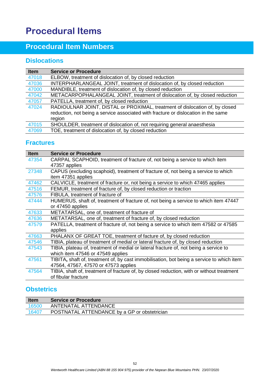## <span id="page-51-0"></span>**Procedural Items**

## <span id="page-51-1"></span>**Procedural Item Numbers**

## <span id="page-51-2"></span>**Dislocations**

| <b>Item</b> | <b>Service or Procedure</b>                                                        |
|-------------|------------------------------------------------------------------------------------|
| 47018       | ELBOW, treatment of dislocation of, by closed reduction                            |
| 47036       | INTERPHARLANGEAL JOINT, treatment of dislocation of, by closed reduction           |
| 47000       | MANDIBLE, treatment of dislocation of, by closed reduction                         |
| 47042       | METACARPOPHALANGEAL JOINT, treatment of dislocation of, by closed reduction        |
| 47057       | PATELLA, treatment of, by closed reduction                                         |
| 47024       | RADIOULNAR JOINT, DISTAL or PROXIMAL, treatment of dislocation of, by closed       |
|             | reduction, not being a service associated with fracture or dislocation in the same |
|             | region                                                                             |
| 47015       | SHOULDER, treatment of dislocation of, not requiring general anaesthesia           |
| 47069       | TOE, treatment of dislocation of, by closed reduction                              |

### <span id="page-51-3"></span>**Fractures**

| <b>Item</b> | <b>Service or Procedure</b>                                                               |
|-------------|-------------------------------------------------------------------------------------------|
| 47354       | CARPAL SCAPHOID, treatment of fracture of, not being a service to which item              |
|             | 47357 applies                                                                             |
| 27348       | CAPUS (excluding scaphoid), treatment of fracture of, not being a service to which        |
|             | item 47351 applies                                                                        |
| 47462       | CALVICLE, treatment of fracture or, not being a service to which 47465 applies            |
| 47516       | FEMUR, treatment of fracture of, by closed reduction or traction                          |
| 47576       | FIBULA, treatment of fracture of                                                          |
| 47444       | HUMERUS, shaft of, treatment of fracture of, not being a service to which item 47447      |
|             | or 47450 applies                                                                          |
| 47633       | METATARSAL, one of, treatment of fracture of                                              |
| 47636       | METATARSAL, one of, treatment of fracture of, by closed reduction                         |
| 47579       | PATELLA, treatment of fracture of, not being a service to which item 47582 or 47585       |
|             | applies                                                                                   |
| 47663       | PHALANX OF GREAT TOE, treatment of facture of, by closed reduction                        |
| 47546       | TIBIA, plateau of treatment of medial or lateral fracture of, by closed reduction         |
| 47543       | TIBIA, plateau of, treatment of medial or lateral fracture of, not being a service to     |
|             | which item 47546 or 47549 applies                                                         |
| 47561       | TIBITA, shaft of, treatment of, by cast immobilisation, bot being a service to which item |
|             | 47564, 47567, 47570 or 47573 applies                                                      |
| 47564       | TIBIA, shaft of, treatment of fracture of, by closed reduction, with or without treatment |
|             | of fibular fracture                                                                       |

### <span id="page-51-4"></span>**Obstetrics**

<span id="page-51-5"></span>

| <b>Item</b> | <b>Service or Procedure</b>                  |
|-------------|----------------------------------------------|
| 16500       | ANTENATAL ATTENDANCE                         |
| 16407       | POSTNATAL ATTENDANCE by a GP or obstetrician |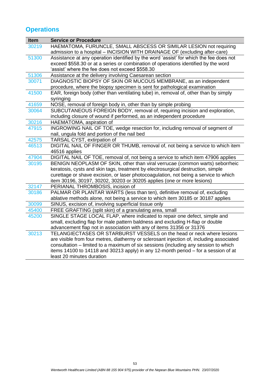## **Operations**

<span id="page-52-0"></span>

| <b>Item</b> | <b>Service or Procedure</b>                                                              |
|-------------|------------------------------------------------------------------------------------------|
| 30219       | HAEMATOMA, FURUNCLE, SMALL ABSCESS OR SIMILAR LESION not requiring                       |
|             | admission to a hospital - INCISION WITH DRAINAGE OF (excluding after-care)               |
| 51300       | Assistance at any operation identified by the word 'assist' for which the fee does not   |
|             | exceed \$558.30 or at a series or combination of operations identified by the word       |
|             | 'assist' where the fee does not exceed \$558.30                                          |
| 51306       | Assistance at the delivery involving Caesarean section                                   |
| 30071       | DIAGNOSTIC BIOPSY OF SKIN OR MUCOUS MEMBRANE, as an independent                          |
|             | procedure, where the biopsy specimen is sent for pathological examination                |
| 41500       | EAR, foreign body (other than ventilating tube) in, removal of, other than by simply     |
|             | syringing                                                                                |
| 41659       | NOSE, removal of foreign body in, other than by simple probing                           |
| 30064       | SUBCUTANEOUS FOREIGN BODY, removal of, requiring incision and exploration,               |
|             | including closure of wound if performed, as an independent procedure                     |
| 30216       | HAEMATOMA, aspiration of                                                                 |
| 47915       | INGROWING NAIL OF TOE, wedge resection for, including removal of segment of              |
|             | nail, ungula fold and portion of the nail bed                                            |
| 42575       | TARSAL CYST, extirpation of                                                              |
| 46513       | DIGITAL NAIL OF FINGER OR THUMB, removal of, not being a service to which item           |
|             | 46516 applies                                                                            |
| 47904       | DIGITAL NAIL OF TOE, removal of, not being a service to which item 47906 applies         |
| 30195       | BENIGN NEOPLASM OF SKIN, other than viral verrucae (common warts) seborrheic             |
|             | keratosis, cysts and skin tags, treatment by electrosurgical destruction, simple         |
|             | curettage or shave excision, or laser photocoagulation, not being a service to which     |
|             | item 30196, 30197, 30202, 30203 or 30205 applies (one or more lesions)                   |
| 32147       | PERIANAL THROMBOSIS, incision of                                                         |
| 30186       | PALMAR OR PLANTAR WARTS (less than ten), definitive removal of, excluding                |
|             | ablative methods alone, not being a service to which item 30185 or 30187 applies         |
| 30099       | SINUS, excision of, involving superficial tissue only                                    |
| 45400       | FREE GRAFTING (split skin) of a granulating area, small                                  |
| 45200       | SINGLE STAGE LOCAL FLAP, where indicated to repair one defect, simple and                |
|             | small, excluding flap for male pattern baldness and excluding H-flap or double           |
|             | advancement flap not in association with any of items 31356 or 31376                     |
| 30213       | TELANGIECTASES OR STARBURST VESSELS on the head or neck where lesions                    |
|             | are visible from four metres, diathermy or sclerosant injection of, including associated |
|             | consultation – limited to a maximum of six sessions (including any session to which      |
|             | items 14100 to 14118 and 30213 apply) in any 12-month period – for a session of at       |
|             | least 20 minutes duration                                                                |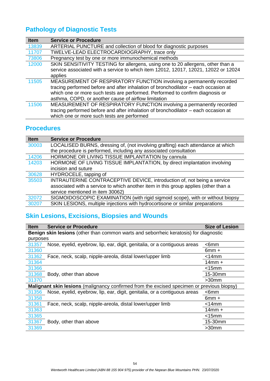## **Pathology of Diagnostic Tests**

| <b>Item</b> | <b>Service or Procedure</b>                                                         |
|-------------|-------------------------------------------------------------------------------------|
| 13839       | ARTERIAL PUNCTURE and collection of blood for diagnostic purposes                   |
| 11707       | TWELVE-LEAD ELECTROCARDIOGRAPHY, trace only                                         |
| 73806       | Pregnancy test by one or more immunochemical methods                                |
| 12000       | SKIN SENSITIVITY TESTING for allergens, using one to 20 allergens, other than a     |
|             | service associated with a service to which item 12012, 12017, 12021, 12022 or 12024 |
|             | applies                                                                             |
| 11505       | MEASUREMENT OF RESPIRATORY FUNCTION involving a permanently recorded                |
|             | tracing performed before and after inhalation of bronchodilator - each occasion at  |
|             | which one or more such tests are performed. Performed to confirm diagnosis or       |
|             | asthma, COPD, or another cause of airflow limitation                                |
| 11506       | MEASUREMENT OF RESPIRATORY FUNCTION involving a permanently recorded                |
|             | tracing performed before and after inhalation of bronchodilator – each occasion at  |
|             | which one or more such tests are performed                                          |

## <span id="page-53-0"></span>**Procedures**

| <b>Item</b> | <b>Service or Procedure</b>                                                         |
|-------------|-------------------------------------------------------------------------------------|
| 30003       | LOCALISED BURNS, dressing of, (not involving grafting) each attendance at which     |
|             | the procedure is performed, including any associated consultation                   |
| 14206       | HORMONE OR LIVING TISSUE IMPLANTATION by cannula                                    |
| 14203       | HORMONE OF LIVING TISSUE IMPLANTATION, by direct implantation involving             |
|             | incision and suture                                                                 |
| 30628       | HYDROCELE, tapping of                                                               |
| 35503       | INTRAUTERINE CONTRACEPTIVE DEVICE, introduction of, not being a service             |
|             | associated with a service to which another item in this group applies (other than a |
|             | service mentioned in item 30062)                                                    |
| 32072       | SIGMOIDOSCOPIC EXAMINATION (with rigid sigmoid scope), with or without biopsy       |
| 30207       | SKIN LESIONS, multiple injections with hydrocortisone or similar preparations       |
|             |                                                                                     |

## <span id="page-53-1"></span>**Skin Lesions, Excisions, Biopsies and Wounds**

| <b>Item</b>                                                                                  | <b>Service or Procedure</b>                                                                | <b>Size of Lesion</b> |  |
|----------------------------------------------------------------------------------------------|--------------------------------------------------------------------------------------------|-----------------------|--|
| <b>Benign skin lesions</b> (other than common warts and seborrheic keratosis) for diagnostic |                                                                                            |                       |  |
| purposes                                                                                     |                                                                                            |                       |  |
| 31357                                                                                        | Nose, eyelid, eyebrow, lip, ear, digit, genitalia, or a contiguous areas                   | $<$ 6mm               |  |
| 31360                                                                                        |                                                                                            | $6mm +$               |  |
| 31362                                                                                        | Face, neck, scalp, nipple-areola, distal lower/upper limb                                  | <14mm                 |  |
| 31364                                                                                        |                                                                                            | $14$ mm +             |  |
| 31366                                                                                        |                                                                                            | <15mm                 |  |
| 31368                                                                                        | Body, other than above                                                                     | 15-30mm               |  |
| 31370                                                                                        |                                                                                            | $>30$ mm              |  |
|                                                                                              | Malignant skin lesions (malignancy confirmed from the excised specimen or previous biopsy) |                       |  |
| 31356                                                                                        | Nose, eyelid, eyebrow, lip, ear, digit, genitalia, or a contiguous areas                   | $<$ 6mm               |  |
| 31358                                                                                        |                                                                                            | $6mm +$               |  |
| 31361                                                                                        | Face, neck, scalp, nipple-areola, distal lower/upper limb                                  | $<$ 14 $mm$           |  |
| 31363                                                                                        |                                                                                            | $14$ mm +             |  |
| 31365                                                                                        |                                                                                            | $<$ 15 $mm$           |  |
| 31367                                                                                        | Body, other than above                                                                     | 15-30mm               |  |
| 31369                                                                                        |                                                                                            | $>30$ mm              |  |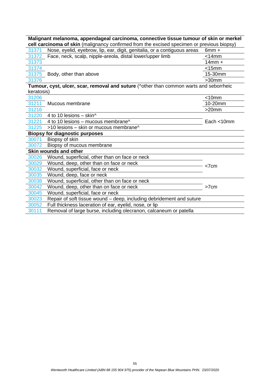| Malignant melanoma, appendageal carcinoma, connective tissue tumour of skin or merkel<br>cell carcinoma of skin (malignancy confirmed from the excised specimen or previous biopsy) |                                                                                        |               |  |  |  |  |
|-------------------------------------------------------------------------------------------------------------------------------------------------------------------------------------|----------------------------------------------------------------------------------------|---------------|--|--|--|--|
| 31371                                                                                                                                                                               | Nose, eyelid, eyebrow, lip, ear, digit, genitalia, or a contiguous areas               | $6mm +$       |  |  |  |  |
| 31372                                                                                                                                                                               | Face, neck, scalp, nipple-areola, distal lower/upper limb                              | $<$ 14 $mm$   |  |  |  |  |
| 31373                                                                                                                                                                               |                                                                                        | $14mm +$      |  |  |  |  |
| 31374                                                                                                                                                                               |                                                                                        | $<$ 15 $mm$   |  |  |  |  |
|                                                                                                                                                                                     | 31375 Body, other than above                                                           | 15-30mm       |  |  |  |  |
| 31376                                                                                                                                                                               |                                                                                        | $>30$ mm      |  |  |  |  |
|                                                                                                                                                                                     | Tumour, cyst, ulcer, scar, removal and suture (^other than common warts and seborrheic |               |  |  |  |  |
| keratosis)                                                                                                                                                                          |                                                                                        |               |  |  |  |  |
| 31206                                                                                                                                                                               |                                                                                        | $<$ 10 $mm$   |  |  |  |  |
| 31211                                                                                                                                                                               | Mucous membrane                                                                        | 10-20mm       |  |  |  |  |
| 31216                                                                                                                                                                               |                                                                                        | $>20$ mm      |  |  |  |  |
| 31220                                                                                                                                                                               | 4 to 10 lesions $-$ skin <sup><math>\wedge</math></sup>                                |               |  |  |  |  |
| 31221                                                                                                                                                                               | 4 to 10 lesions - mucous membrane <sup><math>\wedge</math></sup>                       | Each $<$ 10mm |  |  |  |  |
| 31225                                                                                                                                                                               | >10 lesions - skin or mucous membrane^                                                 |               |  |  |  |  |
|                                                                                                                                                                                     | <b>Biopsy for diagnostic purposes</b>                                                  |               |  |  |  |  |
| 30071                                                                                                                                                                               | Biopsy of skin                                                                         |               |  |  |  |  |
| 30072                                                                                                                                                                               | Biopsy of mucous membrane                                                              |               |  |  |  |  |
| Skin wounds and other                                                                                                                                                               |                                                                                        |               |  |  |  |  |
| 30026                                                                                                                                                                               | Wound, superficial, other than on face or neck                                         |               |  |  |  |  |
| 30029                                                                                                                                                                               | Wound, deep, other than on face or neck                                                | <7cm          |  |  |  |  |
| 30032                                                                                                                                                                               | Wound, superficial, face or neck                                                       |               |  |  |  |  |
| 30035                                                                                                                                                                               | Wound, deep, face or neck                                                              |               |  |  |  |  |
| 30038                                                                                                                                                                               | Wound, superficial, other than on face or neck                                         |               |  |  |  |  |
| 30042                                                                                                                                                                               | Wound, deep, other than on face or neck                                                | >7cm          |  |  |  |  |
| 30045                                                                                                                                                                               | Wound, superficial, face or neck                                                       |               |  |  |  |  |
| 30023                                                                                                                                                                               | Repair of soft tissue wound – deep, including debridement and suture                   |               |  |  |  |  |
| 30052                                                                                                                                                                               | Full thickness laceration of ear, eyelid, nose, or lip                                 |               |  |  |  |  |
| 30111                                                                                                                                                                               | Removal of large burse, including olecranon, calcaneum or patella                      |               |  |  |  |  |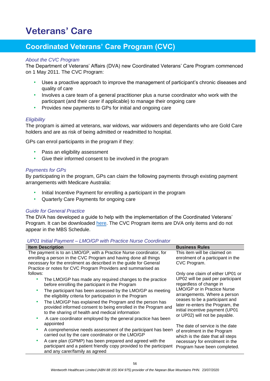## <span id="page-55-0"></span>**Veterans' Care**

## **Coordinated Veterans' Care Program (CVC)**

#### *About the CVC Program*

The Department of Veterans' Affairs (DVA) new Coordinated Veterans' Care Program commenced on 1 May 2011. The CVC Program:

- Uses a proactive approach to improve the management of participant's chronic diseases and quality of care
- Involves a care team of a general practitioner plus a nurse coordinator who work with the participant (and their carer if applicable) to manage their ongoing care
- Provides new payments to GPs for initial and ongoing care

#### *Eligibility*

The program is aimed at veterans, war widows, war widowers and dependants who are Gold Care holders and are as risk of being admitted or readmitted to hospital.

GPs can enrol participants in the program if they:

- Pass an eligibility assessment
- Give their informed consent to be involved in the program

#### *Payments for GPs*

By participating in the program, GPs can claim the following payments through existing payment arrangements with Medicare Australia:

- Initial Incentive Payment for enrolling a participant in the program
- Quarterly Care Payments for ongoing care

#### *Guide for General Practice*

The DVA has developed a guide to help with the implementation of the Coordinated Veterans' Program. It can be downloaded [here.](https://cvctoolbox.dva.gov.au/) The CVC Program items are DVA only items and do not appear in the MBS Schedule.

#### *UP01 Initial Payment – LMO/GP with Practice Nurse Coordinator*

| <b>Item Description</b>                                                                                                                                                                                                                                                                                                                                                                                                                                                                                  | <b>Business Rules</b>                                                                                                                                                                                                                                                                                            |  |  |
|----------------------------------------------------------------------------------------------------------------------------------------------------------------------------------------------------------------------------------------------------------------------------------------------------------------------------------------------------------------------------------------------------------------------------------------------------------------------------------------------------------|------------------------------------------------------------------------------------------------------------------------------------------------------------------------------------------------------------------------------------------------------------------------------------------------------------------|--|--|
| The payment is to an LMO/GP, with a Practice Nurse coordinator, for<br>enrolling a person in the CVC Program and having done all things<br>necessary for the enrolment as described in the guide for General<br>Practice or notes for CVC Program Providers and summarised as                                                                                                                                                                                                                            | This item will be claimed on<br>enrolment of a participant in the<br>CVC Program.                                                                                                                                                                                                                                |  |  |
| follows:<br>The LMO/GP has made any required changes to the practice<br>before enrolling the participant in the Program<br>The participant has been assessed by the LMO/GP as meeting<br>the eligibility criteria for participation in the Program<br>The LMO/GP has explained the Program and the person has<br>۰<br>provided informed consent to being enrolled in the Program and<br>to the sharing of health and medical information<br>A care coordinator employed by the general practice has been | Only one claim of either UP01 or<br>UP02 will be paid per participant<br>regardless of change in<br><b>LMO/GP or in Practice Nurse</b><br>arrangements. Where a person<br>ceases to be a participant and<br>later re-enters the Program, the<br>initial incentive payment (UP01<br>or UP02) will not be payable. |  |  |
| appointed<br>A comprehensive needs assessment of the participant has been<br>carried out by the care coordinator or the LMO/GP<br>A care plan (GPMP) has been prepared and agreed with the<br>participant and a patient friendly copy provided to the participant<br>and any carer/family as agreed                                                                                                                                                                                                      | The date of service is the date<br>of enrolment in the Program<br>which is the date that all steps<br>necessary for enrolment in the<br>Program have been completed.                                                                                                                                             |  |  |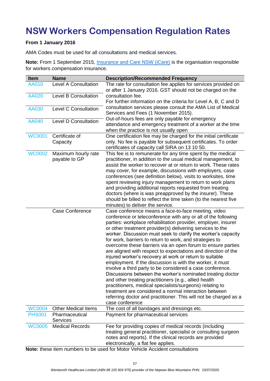# **NSW Workers Compensation Regulation Rates**

#### **From 1 January 2016**

AMA Codes must be used for all consultations and medical services.

Note: From 1 September 2015, *Insurance and Care NSW (iCare)* is the organisation responsible for workers compensation insurance.

| Item          | <b>Name</b>                 | <b>Description/Recommended Frequency</b>                         |
|---------------|-----------------------------|------------------------------------------------------------------|
| AA010         | <b>Level A Consultation</b> | The rate for consultation fee applies for services provided on   |
|               |                             | or after 1 January 2016. GST should not be charged on the        |
| <b>AA020</b>  | <b>Level B Consultation</b> | consultation fee.                                                |
|               |                             | For further information on the criteria for Level A, B, C and D  |
| AA030         | <b>Level C Consultation</b> | consultation services please consult the AMA List of Medical     |
|               |                             | Services and Fees (1 November 2015).                             |
|               |                             | Out-of-hours fees are only payable for emergency                 |
| AA040         | <b>Level D Consultation</b> | attendance and emergency treatment of a worker at the time       |
|               |                             | when the practice is not usually open                            |
| <b>WC0001</b> | Certificate of              | One certification fee may be charged for the initial certificate |
|               | Capacity                    | only. No fee is payable for subsequent certificates. To order    |
|               |                             | certificates of capacity call SIRA on 13 10 50.                  |
| <b>WC0002</b> | Maximum hourly rate         | This fee is to remunerate for any time spent by the medical      |
|               | payable to GP               | practitioner, in addition to the usual medical management, to    |
|               |                             | assist the worker to recover at or return to work. These rates   |
|               |                             | may cover, for example, discussions with employers, case         |
|               |                             | conferences (see definition below), visits to worksites, time    |
|               |                             | spent reviewing injury management to return to work plans        |
|               |                             | and providing additional reports requested from treating         |
|               |                             | doctors (where is was preapproved by the insurer). These         |
|               |                             | should be billed to reflect the time taken (to the nearest five  |
|               |                             | minutes) to deliver the service.                                 |
|               | <b>Case Conference</b>      | Case conference means a face-to-face meeting, video              |
|               |                             | conference or teleconference with any or all of the following    |
|               |                             | parties: workplace rehabilitation provider, employer, insurer    |
|               |                             | or other treatment provider(s) delivering services to the        |
|               |                             | worker. Discussion must seek to clarify the worker's capacity    |
|               |                             | for work, barriers to return to work, and strategies to          |
|               |                             | overcome these barriers via an open forum to ensure parties      |
|               |                             | are aligned with respect to expectations and direction of the    |
|               |                             | injured worker's recovery at work or return to suitable          |
|               |                             | employment. If the discussion is with the worker, it must        |
|               |                             | involve a third party to be considered a case conference.        |
|               |                             | Discussions between the worker's nominated treating doctor       |
|               |                             | and other treating practitioners (e.g., allied health            |
|               |                             | practitioners, medical specialists/surgeons) relating to         |
|               |                             | treatment are considered a normal interaction between            |
|               |                             | referring doctor and practitioner. This will not be charged as a |
|               |                             | case conference                                                  |
| <b>WC0004</b> | <b>Other Medical Items</b>  | The cost of all bandages and dressings etc.                      |
| <b>PHS001</b> | Pharmaceutical              | Payment for pharmaceutical services                              |
|               | <b>Services</b>             |                                                                  |
| <b>WC0005</b> | <b>Medical Records</b>      | Fee for providing copies of medical records (including           |
|               |                             | treating general practitioner, specialist or consulting surgeon  |
|               |                             | notes and reports). If the clinical records are provided         |
|               |                             | electronically, a flat fee applies.                              |

**Note:** these item numbers to be used for Motor Vehicle Accident consultations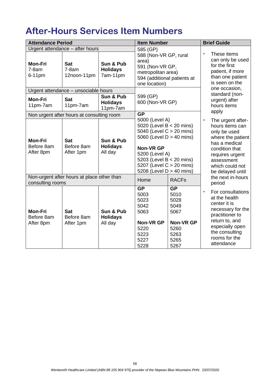# **After-Hours Services Item Numbers**

| <b>Attendance Period</b>                                       |                                                                         |                                          | <b>Item Number</b>                                                                                                                                                                                                           |                                                                                               | <b>Brief Guide</b>                                                                                                                                                               |                                                                                                                                                                                      |  |
|----------------------------------------------------------------|-------------------------------------------------------------------------|------------------------------------------|------------------------------------------------------------------------------------------------------------------------------------------------------------------------------------------------------------------------------|-----------------------------------------------------------------------------------------------|----------------------------------------------------------------------------------------------------------------------------------------------------------------------------------|--------------------------------------------------------------------------------------------------------------------------------------------------------------------------------------|--|
| <b>Mon-Fri</b><br>$7-8am$<br>6-11pm                            | Urgent attendance - after hours<br><b>Sat</b><br>$7-8am$<br>12noon-11pm | Sun & Pub<br><b>Holidays</b><br>7am-11pm | 585 (GP)<br>588 (Non-VR GP, rural<br>area)<br>591 (Non-VR GP,<br>metropolitan area)<br>594 (additional patients at                                                                                                           |                                                                                               | These items<br>can only be used<br>for the first<br>patient, if more<br>than one patient                                                                                         |                                                                                                                                                                                      |  |
|                                                                | Urgent attendance - unsociable hours                                    | Sun & Pub                                | one location)<br>599 (GP)                                                                                                                                                                                                    |                                                                                               | is seen on the<br>one occasion,<br>standard (non-                                                                                                                                |                                                                                                                                                                                      |  |
| <b>Mon-Fri</b><br>11pm-7am                                     | <b>Sat</b><br>11pm-7am                                                  | <b>Holidays</b><br>11pm-7am              | 600 (Non-VR GP)                                                                                                                                                                                                              |                                                                                               | urgent) after<br>hours items<br>apply                                                                                                                                            |                                                                                                                                                                                      |  |
|                                                                | Non urgent after hours at consulting room                               |                                          | <b>GP</b>                                                                                                                                                                                                                    |                                                                                               |                                                                                                                                                                                  |                                                                                                                                                                                      |  |
| <b>Mon-Fri</b><br>Before 8am<br>After 8pm                      | <b>Sat</b><br>Before 8am<br>After 1pm                                   | Sun & Pub<br><b>Holidays</b><br>All day  | 5000 (Level A)<br>5020 (Level B < 20 mins)<br>5040 (Level C > 20 mins)<br>5060 (Level D > 40 mins)<br><b>Non-VR GP</b><br>5200 (Level A)<br>5203 (Level B < 20 mins)<br>5207 (Level C > 20 mins)<br>5208 (Level D > 40 mins) |                                                                                               |                                                                                                                                                                                  | The urgent after-<br>hours items can<br>only be used<br>where the patient<br>has a medical<br>condition that<br>requires urgent<br>assessment<br>which could not<br>be delayed until |  |
| Non-urgent after hours at place other than<br>consulting rooms |                                                                         |                                          | Home                                                                                                                                                                                                                         | <b>RACFs</b>                                                                                  | the next in-hours<br>period                                                                                                                                                      |                                                                                                                                                                                      |  |
| <b>Mon-Fri</b><br>Before 8am<br>After 8pm                      | <b>Sat</b><br>Before 8am<br>After 1pm                                   | Sun & Pub<br><b>Holidays</b><br>All day  | <b>GP</b><br>5003<br>5023<br>5042<br>5063<br><b>Non-VR GP</b><br>5220<br>5223<br>5227<br>5228                                                                                                                                | <b>GP</b><br>5010<br>5028<br>5049<br>5067<br><b>Non-VR GP</b><br>5260<br>5263<br>5265<br>5267 | For consultations<br>at the health<br>center it is<br>necessary for the<br>practitioner to<br>return to, and<br>especially open<br>the consulting<br>rooms for the<br>attendance |                                                                                                                                                                                      |  |